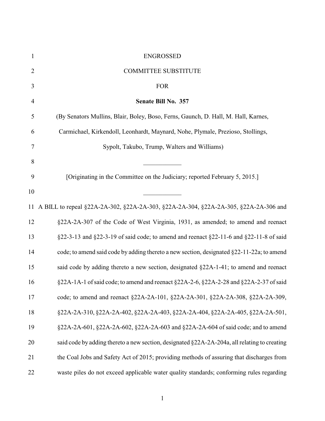| $\mathbf{1}$             | <b>ENGROSSED</b>                                                                             |
|--------------------------|----------------------------------------------------------------------------------------------|
| $\mathbf{2}$             | <b>COMMITTEE SUBSTITUTE</b>                                                                  |
| 3                        | <b>FOR</b>                                                                                   |
| $\overline{\mathcal{A}}$ | Senate Bill No. 357                                                                          |
| 5                        | (By Senators Mullins, Blair, Boley, Boso, Ferns, Gaunch, D. Hall, M. Hall, Karnes,           |
| 6                        | Carmichael, Kirkendoll, Leonhardt, Maynard, Nohe, Plymale, Prezioso, Stollings,              |
| 7                        | Sypolt, Takubo, Trump, Walters and Williams)                                                 |
| 8                        |                                                                                              |
| 9                        | [Originating in the Committee on the Judiciary; reported February 5, 2015.]                  |
| 10                       |                                                                                              |
| 11                       | A BILL to repeal §22A-2A-302, §22A-2A-303, §22A-2A-304, §22A-2A-305, §22A-2A-306 and         |
| 12                       | §22A-2A-307 of the Code of West Virginia, 1931, as amended; to amend and reenact             |
| 13                       | §22-3-13 and §22-3-19 of said code; to amend and reenact §22-11-6 and §22-11-8 of said       |
| 14                       | code; to amend said code by adding thereto a new section, designated §22-11-22a; to amend    |
| 15                       | said code by adding thereto a new section, designated §22A-1-41; to amend and reenact        |
| 16                       | §22A-1A-1 of said code; to amend and reenact §22A-2-6, §22A-2-28 and §22A-2-37 of said       |
| 17                       | code; to amend and reenact §22A-2A-101, §22A-2A-301, §22A-2A-308, §22A-2A-309,               |
| 18                       | §22A-2A-310, §22A-2A-402, §22A-2A-403, §22A-2A-404, §22A-2A-405, §22A-2A-501,                |
| 19                       | §22A-2A-601, §22A-2A-602, §22A-2A-603 and §22A-2A-604 of said code; and to amend             |
| 20                       | said code by adding thereto a new section, designated §22A-2A-204a, all relating to creating |
| 21                       | the Coal Jobs and Safety Act of 2015; providing methods of assuring that discharges from     |
| 22                       | waste piles do not exceed applicable water quality standards; conforming rules regarding     |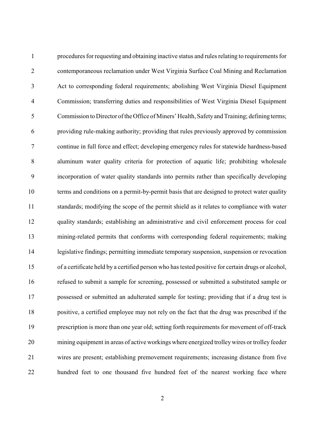procedures for requesting and obtaining inactive status and rules relating to requirements for contemporaneous reclamation under West Virginia Surface Coal Mining and Reclamation Act to corresponding federal requirements; abolishing West Virginia Diesel Equipment Commission; transferring duties and responsibilities of West Virginia Diesel Equipment Commission to Director of the Office of Miners' Health, Safetyand Training; defining terms; providing rule-making authority; providing that rules previously approved by commission continue in full force and effect; developing emergency rules for statewide hardness-based aluminum water quality criteria for protection of aquatic life; prohibiting wholesale incorporation of water quality standards into permits rather than specifically developing terms and conditions on a permit-by-permit basis that are designed to protect water quality standards; modifying the scope of the permit shield as it relates to compliance with water quality standards; establishing an administrative and civil enforcement process for coal mining-related permits that conforms with corresponding federal requirements; making legislative findings; permitting immediate temporary suspension, suspension or revocation of a certificate held by a certified person who has tested positive for certain drugs or alcohol, refused to submit a sample for screening, possessed or submitted a substituted sample or possessed or submitted an adulterated sample for testing; providing that if a drug test is positive, a certified employee may not rely on the fact that the drug was prescribed if the prescription is more than one year old; setting forth requirements for movement of off-track mining equipment in areas of active workings where energized trolleywires or trolley feeder wires are present; establishing premovement requirements; increasing distance from five hundred feet to one thousand five hundred feet of the nearest working face where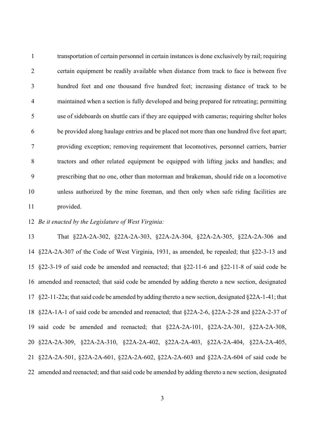transportation of certain personnel in certain instances is done exclusively by rail; requiring certain equipment be readily available when distance from track to face is between five hundred feet and one thousand five hundred feet; increasing distance of track to be maintained when a section is fully developed and being prepared for retreating; permitting use of sideboards on shuttle cars if they are equipped with cameras; requiring shelter holes be provided along haulage entries and be placed not more than one hundred five feet apart; providing exception; removing requirement that locomotives, personnel carriers, barrier tractors and other related equipment be equipped with lifting jacks and handles; and prescribing that no one, other than motorman and brakeman, should ride on a locomotive unless authorized by the mine foreman, and then only when safe riding facilities are provided.

#### *Be it enacted by the Legislature of West Virginia:*

 That §22A-2A-302, §22A-2A-303, §22A-2A-304, §22A-2A-305, §22A-2A-306 and §22A-2A-307 of the Code of West Virginia, 1931, as amended, be repealed; that §22-3-13 and §22-3-19 of said code be amended and reenacted; that §22-11-6 and §22-11-8 of said code be amended and reenacted; that said code be amended by adding thereto a new section, designated §22-11-22a; that said code be amended by adding thereto a new section, designated §22A-1-41; that §22A-1A-1 of said code be amended and reenacted; that §22A-2-6, §22A-2-28 and §22A-2-37 of said code be amended and reenacted; that §22A-2A-101, §22A-2A-301, §22A-2A-308, §22A-2A-309, §22A-2A-310, §22A-2A-402, §22A-2A-403, §22A-2A-404, §22A-2A-405, §22A-2A-501, §22A-2A-601, §22A-2A-602, §22A-2A-603 and §22A-2A-604 of said code be amended and reenacted; and that said code be amended by adding thereto a new section, designated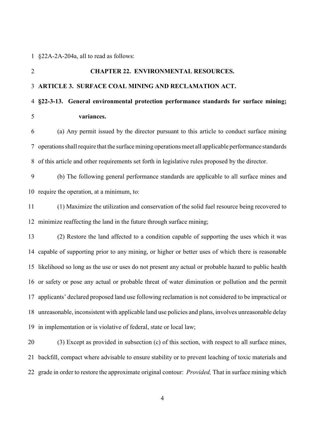#### §22A-2A-204a, all to read as follows:

# **CHAPTER 22. ENVIRONMENTAL RESOURCES. ARTICLE 3. SURFACE COAL MINING AND RECLAMATION ACT. §22-3-13. General environmental protection performance standards for surface mining; variances.** (a) Any permit issued by the director pursuant to this article to conduct surface mining operations shall require that the surface mining operations meet all applicable performance standards of this article and other requirements set forth in legislative rules proposed by the director. (b) The following general performance standards are applicable to all surface mines and require the operation, at a minimum, to: (1) Maximize the utilization and conservation of the solid fuel resource being recovered to minimize reaffecting the land in the future through surface mining; (2) Restore the land affected to a condition capable of supporting the uses which it was capable of supporting prior to any mining, or higher or better uses of which there is reasonable likelihood so long as the use or uses do not present any actual or probable hazard to public health or safety or pose any actual or probable threat of water diminution or pollution and the permit applicants' declared proposed land use following reclamation is not considered to be impractical or unreasonable, inconsistent with applicable land use policies and plans, involves unreasonable delay in implementation or is violative of federal, state or local law; (3) Except as provided in subsection (c) of this section, with respect to all surface mines,

grade in order to restore the approximate original contour: *Provided,* That in surface mining which

backfill, compact where advisable to ensure stability or to prevent leaching of toxic materials and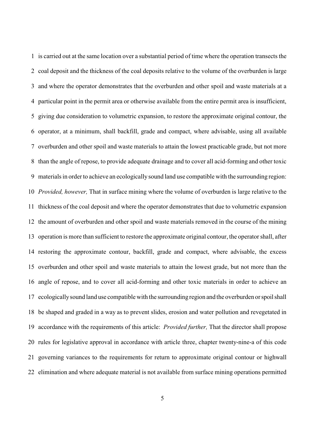is carried out at the same location over a substantial period of time where the operation transects the coal deposit and the thickness of the coal deposits relative to the volume of the overburden is large and where the operator demonstrates that the overburden and other spoil and waste materials at a particular point in the permit area or otherwise available from the entire permit area is insufficient, giving due consideration to volumetric expansion, to restore the approximate original contour, the operator, at a minimum, shall backfill, grade and compact, where advisable, using all available overburden and other spoil and waste materials to attain the lowest practicable grade, but not more than the angle of repose, to provide adequate drainage and to cover all acid-forming and other toxic materials in orderto achieve an ecologically sound land use compatible with the surrounding region: *Provided, however,* That in surface mining where the volume of overburden is large relative to the thickness of the coal deposit and where the operator demonstrates that due to volumetric expansion the amount of overburden and other spoil and waste materials removed in the course of the mining operation is more than sufficient to restore the approximate original contour, the operator shall, after restoring the approximate contour, backfill, grade and compact, where advisable, the excess overburden and other spoil and waste materials to attain the lowest grade, but not more than the angle of repose, and to cover all acid-forming and other toxic materials in order to achieve an ecologicallysound land use compatible with the surrounding region and the overburden or spoilshall be shaped and graded in a way as to prevent slides, erosion and water pollution and revegetated in accordance with the requirements of this article: *Provided further,* That the director shall propose rules for legislative approval in accordance with article three, chapter twenty-nine-a of this code governing variances to the requirements for return to approximate original contour or highwall elimination and where adequate material is not available from surface mining operations permitted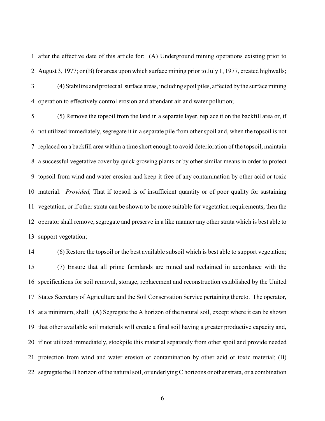after the effective date of this article for: (A) Underground mining operations existing prior to August 3, 1977; or (B) for areas upon which surface mining prior to July 1, 1977, created highwalls; (4) Stabilize and protect allsurface areas, including spoil piles, affected bythe surface mining operation to effectively control erosion and attendant air and water pollution;

 (5) Remove the topsoil from the land in a separate layer, replace it on the backfill area or, if not utilized immediately, segregate it in a separate pile from other spoil and, when the topsoil is not replaced on a backfill area within a time short enough to avoid deterioration of the topsoil, maintain a successful vegetative cover by quick growing plants or by other similar means in order to protect topsoil from wind and water erosion and keep it free of any contamination by other acid or toxic material: *Provided,* That if topsoil is of insufficient quantity or of poor quality for sustaining vegetation, or if other strata can be shown to be more suitable for vegetation requirements, then the operator shall remove, segregate and preserve in a like manner any other strata which is best able to support vegetation;

 (6) Restore the topsoil or the best available subsoil which is best able to support vegetation; (7) Ensure that all prime farmlands are mined and reclaimed in accordance with the specifications for soil removal, storage, replacement and reconstruction established by the United States Secretary of Agriculture and the Soil Conservation Service pertaining thereto. The operator, at a minimum, shall: (A) Segregate the A horizon of the natural soil, except where it can be shown that other available soil materials will create a final soil having a greater productive capacity and, if not utilized immediately, stockpile this material separately from other spoil and provide needed protection from wind and water erosion or contamination by other acid or toxic material; (B) segregate the B horizon of the natural soil, or underlying C horizons or other strata, or a combination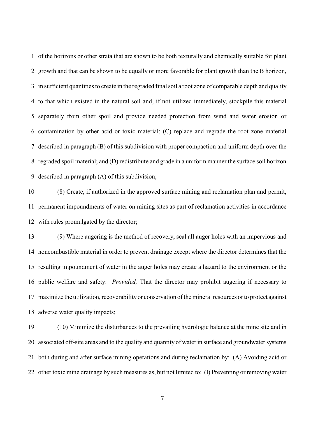of the horizons or other strata that are shown to be both texturally and chemically suitable for plant growth and that can be shown to be equally or more favorable for plant growth than the B horizon, in sufficient quantities to create in the regraded final soil a root zone of comparable depth and quality to that which existed in the natural soil and, if not utilized immediately, stockpile this material separately from other spoil and provide needed protection from wind and water erosion or contamination by other acid or toxic material; (C) replace and regrade the root zone material described in paragraph (B) of this subdivision with proper compaction and uniform depth over the regraded spoil material; and (D) redistribute and grade in a uniform manner the surface soil horizon described in paragraph (A) of this subdivision;

 (8) Create, if authorized in the approved surface mining and reclamation plan and permit, permanent impoundments of water on mining sites as part of reclamation activities in accordance with rules promulgated by the director;

 (9) Where augering is the method of recovery, seal all auger holes with an impervious and noncombustible material in order to prevent drainage except where the director determines that the resulting impoundment of water in the auger holes may create a hazard to the environment or the public welfare and safety: *Provided,* That the director may prohibit augering if necessary to maximize the utilization, recoverability or conservation of the mineral resources or to protect against adverse water quality impacts;

 (10) Minimize the disturbances to the prevailing hydrologic balance at the mine site and in associated off-site areas and to the quality and quantity of water in surface and groundwater systems both during and after surface mining operations and during reclamation by: (A) Avoiding acid or other toxic mine drainage by such measures as, but not limited to: (I) Preventing or removing water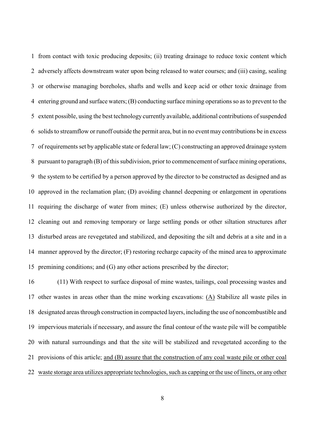from contact with toxic producing deposits; (ii) treating drainage to reduce toxic content which adversely affects downstream water upon being released to water courses; and (iii) casing, sealing or otherwise managing boreholes, shafts and wells and keep acid or other toxic drainage from entering ground and surface waters; (B) conducting surface mining operations so as to prevent to the extent possible, using the best technology currently available, additional contributions of suspended solids to streamflow or runoff outside the permit area, but in no event may contributions be in excess of requirements set by applicable state or federal law; (C) constructing an approved drainage system pursuant to paragraph (B) of this subdivision, prior to commencement of surface mining operations, the system to be certified by a person approved by the director to be constructed as designed and as approved in the reclamation plan; (D) avoiding channel deepening or enlargement in operations requiring the discharge of water from mines; (E) unless otherwise authorized by the director, cleaning out and removing temporary or large settling ponds or other siltation structures after disturbed areas are revegetated and stabilized, and depositing the silt and debris at a site and in a manner approved by the director; (F) restoring recharge capacity of the mined area to approximate premining conditions; and (G) any other actions prescribed by the director;

 (11) With respect to surface disposal of mine wastes, tailings, coal processing wastes and other wastes in areas other than the mine working excavations: (A) Stabilize all waste piles in designated areas through construction in compacted layers, including the use of noncombustible and impervious materials if necessary, and assure the final contour of the waste pile will be compatible with natural surroundings and that the site will be stabilized and revegetated according to the provisions of this article; and (B) assure that the construction of any coal waste pile or other coal waste storage area utilizes appropriate technologies, such as capping or the use of liners, or any other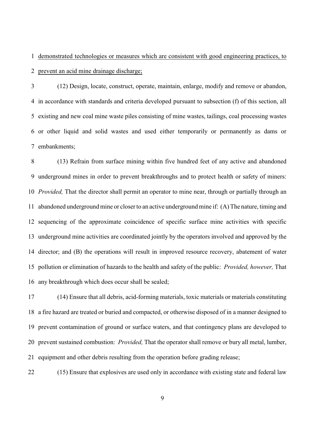demonstrated technologies or measures which are consistent with good engineering practices, to

prevent an acid mine drainage discharge;

 (12) Design, locate, construct, operate, maintain, enlarge, modify and remove or abandon, in accordance with standards and criteria developed pursuant to subsection (f) of this section, all existing and new coal mine waste piles consisting of mine wastes, tailings, coal processing wastes or other liquid and solid wastes and used either temporarily or permanently as dams or embankments;

 (13) Refrain from surface mining within five hundred feet of any active and abandoned underground mines in order to prevent breakthroughs and to protect health or safety of miners: *Provided,* That the director shall permit an operator to mine near, through or partially through an abandoned underground mine or closer to an active underground mine if: (A) The nature, timing and sequencing of the approximate coincidence of specific surface mine activities with specific underground mine activities are coordinated jointly by the operators involved and approved by the director; and (B) the operations will result in improved resource recovery, abatement of water pollution or elimination of hazards to the health and safety of the public: *Provided, however,* That any breakthrough which does occur shall be sealed;

 (14) Ensure that all debris, acid-forming materials, toxic materials or materials constituting a fire hazard are treated or buried and compacted, or otherwise disposed of in a manner designed to prevent contamination of ground or surface waters, and that contingency plans are developed to prevent sustained combustion: *Provided,* That the operator shall remove or bury all metal, lumber, equipment and other debris resulting from the operation before grading release;

(15) Ensure that explosives are used only in accordance with existing state and federal law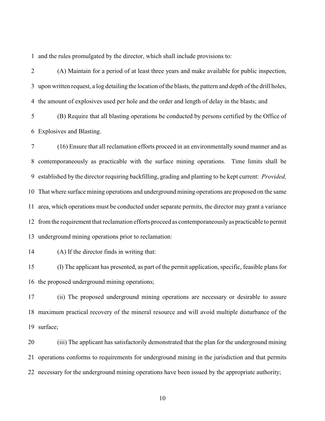and the rules promulgated by the director, which shall include provisions to:

 (A) Maintain for a period of at least three years and make available for public inspection, upon written request, a log detailing the location of the blasts, the pattern and depth of the drill holes, the amount of explosives used per hole and the order and length of delay in the blasts; and

 (B) Require that all blasting operations be conducted by persons certified by the Office of Explosives and Blasting.

 (16) Ensure that all reclamation efforts proceed in an environmentally sound manner and as contemporaneously as practicable with the surface mining operations. Time limits shall be established by the director requiring backfilling, grading and planting to be kept current: *Provided,* That where surface mining operations and underground mining operations are proposed on the same area, which operations must be conducted under separate permits, the director may grant a variance from the requirement that reclamation efforts proceed as contemporaneouslyas practicable to permit underground mining operations prior to reclamation:

(A) If the director finds in writing that:

 (I) The applicant has presented, as part of the permit application, specific, feasible plans for the proposed underground mining operations;

 (ii) The proposed underground mining operations are necessary or desirable to assure maximum practical recovery of the mineral resource and will avoid multiple disturbance of the surface;

 (iii) The applicant has satisfactorily demonstrated that the plan for the underground mining operations conforms to requirements for underground mining in the jurisdiction and that permits necessary for the underground mining operations have been issued by the appropriate authority;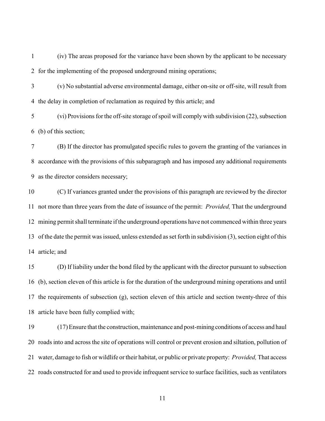(iv) The areas proposed for the variance have been shown by the applicant to be necessary for the implementing of the proposed underground mining operations;

 (v) No substantial adverse environmental damage, either on-site or off-site, will result from the delay in completion of reclamation as required by this article; and

 (vi) Provisions for the off-site storage of spoil will comply with subdivision (22), subsection (b) of this section;

 (B) If the director has promulgated specific rules to govern the granting of the variances in accordance with the provisions of this subparagraph and has imposed any additional requirements as the director considers necessary;

 (C) If variances granted under the provisions of this paragraph are reviewed by the director not more than three years from the date of issuance of the permit: *Provided,* That the underground mining permit shall terminate if the underground operations have not commenced within three years of the date the permit was issued, unless extended as set forth in subdivision (3), section eight of this article; and

 (D) If liability under the bond filed by the applicant with the director pursuant to subsection (b), section eleven of this article is for the duration of the underground mining operations and until the requirements of subsection (g), section eleven of this article and section twenty-three of this article have been fully complied with;

 (17) Ensure that the construction, maintenance and post-miningconditions of access and haul roads into and across the site of operations will control or prevent erosion and siltation, pollution of water, damage to fish or wildlife or their habitat, or public or private property: *Provided,* That access roads constructed for and used to provide infrequent service to surface facilities, such as ventilators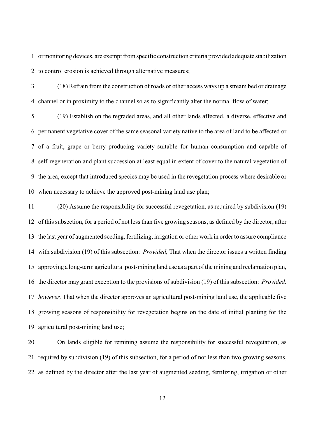ormonitoring devices, are exempt from specific construction criteria provided adequate stabilization to control erosion is achieved through alternative measures;

 (18) Refrain from the construction of roads or other access ways up a stream bed or drainage channel or in proximity to the channel so as to significantly alter the normal flow of water;

 (19) Establish on the regraded areas, and all other lands affected, a diverse, effective and permanent vegetative cover of the same seasonal variety native to the area of land to be affected or of a fruit, grape or berry producing variety suitable for human consumption and capable of self-regeneration and plant succession at least equal in extent of cover to the natural vegetation of the area, except that introduced species may be used in the revegetation process where desirable or when necessary to achieve the approved post-mining land use plan;

 (20) Assume the responsibility for successful revegetation, as required by subdivision (19) of this subsection, for a period of not less than five growing seasons, as defined by the director, after the last year of augmented seeding, fertilizing, irrigation or other work in orderto assure compliance with subdivision (19) of this subsection: *Provided,* That when the director issues a written finding approving a long-term agricultural post-mining land use as a part of the mining and reclamation plan, the director may grant exception to the provisions of subdivision (19) of this subsection: *Provided, however,* That when the director approves an agricultural post-mining land use, the applicable five growing seasons of responsibility for revegetation begins on the date of initial planting for the agricultural post-mining land use;

 On lands eligible for remining assume the responsibility for successful revegetation, as required by subdivision (19) of this subsection, for a period of not less than two growing seasons, as defined by the director after the last year of augmented seeding, fertilizing, irrigation or other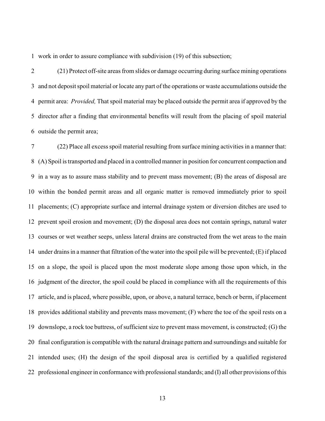work in order to assure compliance with subdivision (19) of this subsection;

 (21) Protect off-site areas from slides or damage occurring during surface mining operations and not deposit spoil material or locate any part of the operations or waste accumulations outside the permit area: *Provided,* That spoil material may be placed outside the permit area if approved by the director after a finding that environmental benefits will result from the placing of spoil material outside the permit area;

 (22) Place all excess spoil material resulting from surface mining activities in a manner that: (A) Spoil is transported and placed in a controlled mannerin position for concurrent compaction and in a way as to assure mass stability and to prevent mass movement; (B) the areas of disposal are within the bonded permit areas and all organic matter is removed immediately prior to spoil placements; (C) appropriate surface and internal drainage system or diversion ditches are used to prevent spoil erosion and movement; (D) the disposal area does not contain springs, natural water courses or wet weather seeps, unless lateral drains are constructed from the wet areas to the main under drains in a manner that filtration of the water into the spoil pile will be prevented; (E) if placed on a slope, the spoil is placed upon the most moderate slope among those upon which, in the judgment of the director, the spoil could be placed in compliance with all the requirements of this article, and is placed, where possible, upon, or above, a natural terrace, bench or berm, if placement provides additional stability and prevents mass movement; (F) where the toe of the spoil rests on a downslope, a rock toe buttress, of sufficient size to prevent mass movement, is constructed; (G) the final configuration is compatible with the natural drainage pattern and surroundings and suitable for intended uses; (H) the design of the spoil disposal area is certified by a qualified registered professional engineerin conformance with professional standards; and (I) all other provisions of this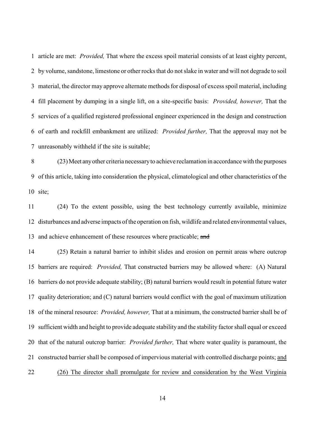article are met: *Provided,* That where the excess spoil material consists of at least eighty percent, by volume, sandstone, limestone or other rocks that do not slake in water and will not degrade to soil material, the director may approve alternate methods for disposal of excess spoil material, including fill placement by dumping in a single lift, on a site-specific basis: *Provided, however,* That the services of a qualified registered professional engineer experienced in the design and construction of earth and rockfill embankment are utilized: *Provided further,* That the approval may not be unreasonably withheld if the site is suitable;

 (23)Meet anyother criteria necessaryto achieve reclamation in accordance with the purposes of this article, taking into consideration the physical, climatological and other characteristics of the site;

 (24) To the extent possible, using the best technology currently available, minimize disturbances and adverse impacts of the operation on fish, wildlife and related environmental values, 13 and achieve enhancement of these resources where practicable; and

 (25) Retain a natural barrier to inhibit slides and erosion on permit areas where outcrop barriers are required: *Provided,* That constructed barriers may be allowed where: (A) Natural barriers do not provide adequate stability; (B) natural barriers would result in potential future water quality deterioration; and (C) natural barriers would conflict with the goal of maximum utilization of the mineral resource: *Provided, however,* That at a minimum, the constructed barrier shall be of sufficient width and height to provide adequate stability and the stability factor shall equal or exceed that of the natural outcrop barrier: *Provided further,* That where water quality is paramount, the constructed barrier shall be composed of impervious material with controlled discharge points; and (26) The director shall promulgate for review and consideration by the West Virginia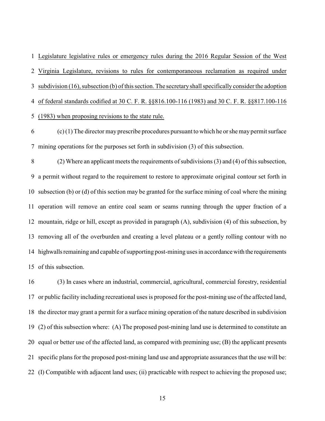Legislature legislative rules or emergency rules during the 2016 Regular Session of the West Virginia Legislature, revisions to rules for contemporaneous reclamation as required under subdivision (16), subsection (b) of this section. The secretaryshall specifically consider the adoption of federal standards codified at 30 C. F. R. §§816.100-116 (1983) and 30 C. F. R. §§817.100-116

(1983) when proposing revisions to the state rule.

 (c)(1) The director may prescribe procedures pursuant to which he or she may permit surface mining operations for the purposes set forth in subdivision (3) of this subsection.

 (2) Where an applicant meets the requirements of subdivisions(3) and (4) of this subsection, a permit without regard to the requirement to restore to approximate original contour set forth in subsection (b) or (d) of this section may be granted for the surface mining of coal where the mining operation will remove an entire coal seam or seams running through the upper fraction of a mountain, ridge or hill, except as provided in paragraph (A), subdivision (4) of this subsection, by removing all of the overburden and creating a level plateau or a gently rolling contour with no 14 highwalls remaining and capable of supporting post-mining uses in accordance with the requirements of this subsection.

 (3) In cases where an industrial, commercial, agricultural, commercial forestry, residential or public facility including recreational uses is proposed for the post-mining use of the affected land, the director may grant a permit for a surface mining operation of the nature described in subdivision (2) of this subsection where: (A) The proposed post-mining land use is determined to constitute an equal or better use of the affected land, as compared with premining use; (B) the applicant presents specific plans for the proposed post-mining land use and appropriate assurances that the use will be: (I) Compatible with adjacent land uses; (ii) practicable with respect to achieving the proposed use;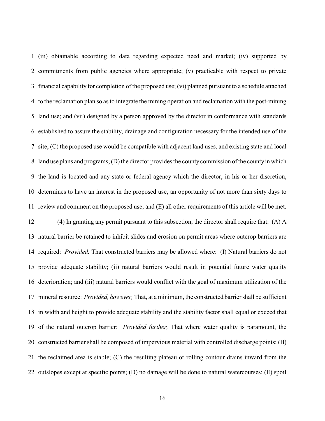(iii) obtainable according to data regarding expected need and market; (iv) supported by commitments from public agencies where appropriate; (v) practicable with respect to private financial capability for completion of the proposed use; (vi) planned pursuant to a schedule attached to the reclamation plan so as to integrate the mining operation and reclamation with the post-mining land use; and (vii) designed by a person approved by the director in conformance with standards established to assure the stability, drainage and configuration necessary for the intended use of the site; (C) the proposed use would be compatible with adjacent land uses, and existing state and local land use plans and programs; (D) the director provides the countycommission of the countyin which the land is located and any state or federal agency which the director, in his or her discretion, determines to have an interest in the proposed use, an opportunity of not more than sixty days to review and comment on the proposed use; and (E) all other requirements of this article will be met. (4) In granting any permit pursuant to this subsection, the director shall require that: (A) A natural barrier be retained to inhibit slides and erosion on permit areas where outcrop barriers are required: *Provided,* That constructed barriers may be allowed where: (I) Natural barriers do not provide adequate stability; (ii) natural barriers would result in potential future water quality deterioration; and (iii) natural barriers would conflict with the goal of maximum utilization of the mineral resource: *Provided, however,* That, at a minimum, the constructed barrier shall be sufficient in width and height to provide adequate stability and the stability factor shall equal or exceed that of the natural outcrop barrier: *Provided further,* That where water quality is paramount, the constructed barrier shall be composed of impervious material with controlled discharge points; (B) the reclaimed area is stable; (C) the resulting plateau or rolling contour drains inward from the outslopes except at specific points; (D) no damage will be done to natural watercourses; (E) spoil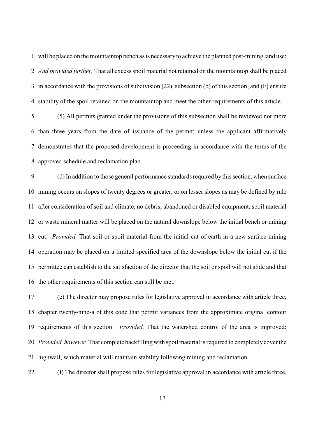will be placed on the mountaintop bench as is necessaryto achieve the planned post-mining land use: *And provided further,* That all excess spoil material not retained on the mountaintop shall be placed in accordance with the provisions of subdivision (22), subsection (b) of this section; and (F) ensure stability of the spoil retained on the mountaintop and meet the other requirements of this article.

 (5) All permits granted under the provisions of this subsection shall be reviewed not more than three years from the date of issuance of the permit; unless the applicant affirmatively demonstrates that the proposed development is proceeding in accordance with the terms of the approved schedule and reclamation plan.

 (d) In addition to those general performance standards required by this section, when surface mining occurs on slopes of twenty degrees or greater, or on lesser slopes as may be defined by rule after consideration of soil and climate, no debris, abandoned or disabled equipment, spoil material or waste mineral matter will be placed on the natural downslope below the initial bench or mining cut: *Provided,* That soil or spoil material from the initial cut of earth in a new surface mining operation may be placed on a limited specified area of the downslope below the initial cut if the permittee can establish to the satisfaction of the director that the soil or spoil will not slide and that the other requirements of this section can still be met.

 (e) The director may propose rules for legislative approval in accordance with article three, chapter twenty-nine-a of this code that permit variances from the approximate original contour requirements of this section: *Provided,* That the watershed control of the area is improved: *Provided, however,* That complete backfilling with spoil material is required to completely coverthe highwall, which material will maintain stability following mining and reclamation.

(f) The director shall propose rules for legislative approval in accordance with article three,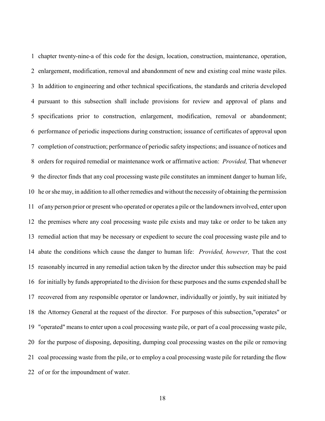chapter twenty-nine-a of this code for the design, location, construction, maintenance, operation, enlargement, modification, removal and abandonment of new and existing coal mine waste piles. In addition to engineering and other technical specifications, the standards and criteria developed pursuant to this subsection shall include provisions for review and approval of plans and specifications prior to construction, enlargement, modification, removal or abandonment; performance of periodic inspections during construction; issuance of certificates of approval upon completion of construction; performance of periodic safety inspections; and issuance of notices and orders for required remedial or maintenance work or affirmative action: *Provided,* That whenever the director finds that any coal processing waste pile constitutes an imminent danger to human life, he or she may, in addition to all other remedies and without the necessity of obtaining the permission of any person prior or present who operated or operates a pile or the landowners involved, enter upon the premises where any coal processing waste pile exists and may take or order to be taken any remedial action that may be necessary or expedient to secure the coal processing waste pile and to abate the conditions which cause the danger to human life: *Provided, however,* That the cost reasonably incurred in any remedial action taken by the director under this subsection may be paid for initially by funds appropriated to the division for these purposes and the sums expended shall be recovered from any responsible operator or landowner, individually or jointly, by suit initiated by the Attorney General at the request of the director. For purposes of this subsection,"operates" or "operated" means to enter upon a coal processing waste pile, or part of a coal processing waste pile, for the purpose of disposing, depositing, dumping coal processing wastes on the pile or removing coal processing waste from the pile, or to employ a coal processing waste pile for retarding the flow of or for the impoundment of water.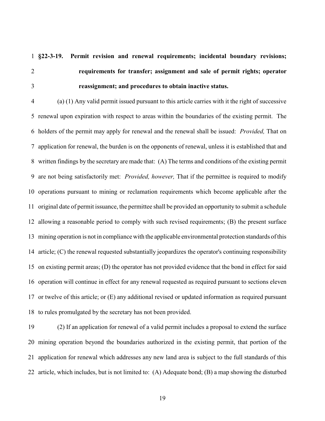**§22-3-19. Permit revision and renewal requirements; incidental boundary revisions; requirements for transfer; assignment and sale of permit rights; operator reassignment; and procedures to obtain inactive status.**

 (a) (1) Any valid permit issued pursuant to this article carries with it the right of successive renewal upon expiration with respect to areas within the boundaries of the existing permit. The holders of the permit may apply for renewal and the renewal shall be issued: *Provided,* That on application for renewal, the burden is on the opponents of renewal, unless it is established that and written findings by the secretary are made that: (A) The terms and conditions of the existing permit are not being satisfactorily met: *Provided, however,* That if the permittee is required to modify operations pursuant to mining or reclamation requirements which become applicable after the original date of permit issuance, the permittee shall be provided an opportunity to submit a schedule allowing a reasonable period to comply with such revised requirements; (B) the present surface mining operation is not in compliance with the applicable environmental protection standards of this article; (C) the renewal requested substantially jeopardizes the operator's continuing responsibility on existing permit areas; (D) the operator has not provided evidence that the bond in effect for said operation will continue in effect for any renewal requested as required pursuant to sections eleven or twelve of this article; or (E) any additional revised or updated information as required pursuant to rules promulgated by the secretary has not been provided.

 (2) If an application for renewal of a valid permit includes a proposal to extend the surface mining operation beyond the boundaries authorized in the existing permit, that portion of the application for renewal which addresses any new land area is subject to the full standards of this article, which includes, but is not limited to: (A) Adequate bond; (B) a map showing the disturbed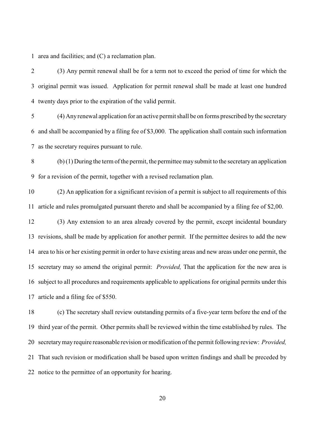area and facilities; and (C) a reclamation plan.

 (3) Any permit renewal shall be for a term not to exceed the period of time for which the original permit was issued. Application for permit renewal shall be made at least one hundred twenty days prior to the expiration of the valid permit.

 (4) Anyrenewal application for an active permit shall be on forms prescribed by the secretary and shall be accompanied by a filing fee of \$3,000. The application shall contain such information as the secretary requires pursuant to rule.

 (b) (1) During the term of the permit, the permittee may submit to the secretaryan application for a revision of the permit, together with a revised reclamation plan.

 (2) An application for a significant revision of a permit is subject to all requirements of this article and rules promulgated pursuant thereto and shall be accompanied by a filing fee of \$2,00.

 (3) Any extension to an area already covered by the permit, except incidental boundary revisions, shall be made by application for another permit. If the permittee desires to add the new area to his or her existing permit in order to have existing areas and new areas under one permit, the secretary may so amend the original permit: *Provided,* That the application for the new area is subject to all procedures and requirements applicable to applications for original permits under this article and a filing fee of \$550.

 (c) The secretary shall review outstanding permits of a five-year term before the end of the third year of the permit. Other permits shall be reviewed within the time established by rules. The secretarymayrequire reasonable revision or modification of the permit following review: *Provided,* That such revision or modification shall be based upon written findings and shall be preceded by notice to the permittee of an opportunity for hearing.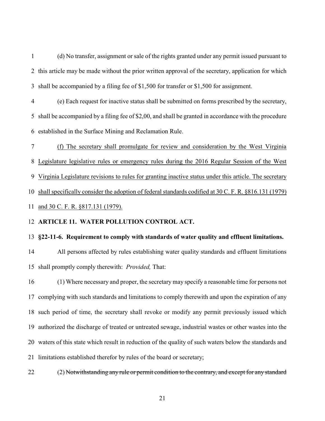(d) No transfer, assignment or sale of the rights granted under any permit issued pursuant to this article may be made without the prior written approval of the secretary, application for which shall be accompanied by a filing fee of \$1,500 for transfer or \$1,500 for assignment.

 (e) Each request for inactive status shall be submitted on forms prescribed by the secretary, shall be accompanied by a filing fee of \$2,00, and shall be granted in accordance with the procedure established in the Surface Mining and Reclamation Rule.

 (f) The secretary shall promulgate for review and consideration by the West Virginia Legislature legislative rules or emergency rules during the 2016 Regular Session of the West Virginia Legislature revisions to rules for granting inactive status under this article. The secretary shall specifically consider the adoption of federal standards codified at 30 C. F. R. §816.131 (1979) and 30 C. F. R. §817.131 (1979).

### **ARTICLE 11. WATER POLLUTION CONTROL ACT.**

### **§22-11-6. Requirement to comply with standards of water quality and effluent limitations.**

 All persons affected by rules establishing water quality standards and effluent limitations shall promptly comply therewith: *Provided,* That:

 (1) Where necessary and proper, the secretary may specify a reasonable time for persons not complying with such standards and limitations to comply therewith and upon the expiration of any such period of time, the secretary shall revoke or modify any permit previously issued which authorized the discharge of treated or untreated sewage, industrial wastes or other wastes into the waters of this state which result in reduction of the quality of such waters below the standards and limitations established therefor by rules of the board or secretary;

22 (2) Notwithstanding any rule or permit condition to the contrary, and except for any standard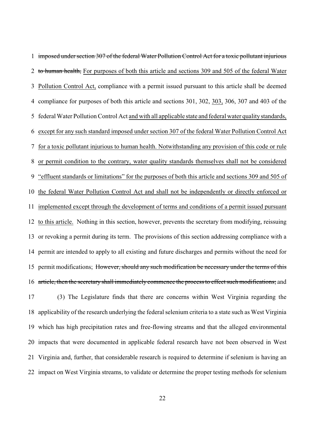imposed under section 307 of the federal Water Pollution Control Act for a toxic pollutant injurious 2 to human health, For purposes of both this article and sections 309 and 505 of the federal Water Pollution Control Act, compliance with a permit issued pursuant to this article shall be deemed compliance for purposes of both this article and sections 301, 302, 303, 306, 307 and 403 of the federal Water Pollution Control Act and with all applicable state and federal water quality standards, except for any such standard imposed under section 307 of the federal Water Pollution Control Act for a toxic pollutant injurious to human health. Notwithstanding any provision of this code or rule or permit condition to the contrary, water quality standards themselves shall not be considered "effluent standards or limitations" for the purposes of both this article and sections 309 and 505 of the federal Water Pollution Control Act and shall not be independently or directly enforced or implemented except through the development of terms and conditions of a permit issued pursuant to this article. Nothing in this section, however, prevents the secretary from modifying, reissuing or revoking a permit during its term. The provisions of this section addressing compliance with a permit are intended to apply to all existing and future discharges and permits without the need for 15 permit modifications; However, should any such modification be necessary under the terms of this 16 article, then the secretary shall immediately commence the process to effect such modifications; and (3) The Legislature finds that there are concerns within West Virginia regarding the applicability of the research underlying the federal selenium criteria to a state such as West Virginia which has high precipitation rates and free-flowing streams and that the alleged environmental impacts that were documented in applicable federal research have not been observed in West Virginia and, further, that considerable research is required to determine if selenium is having an impact on West Virginia streams, to validate or determine the proper testing methods for selenium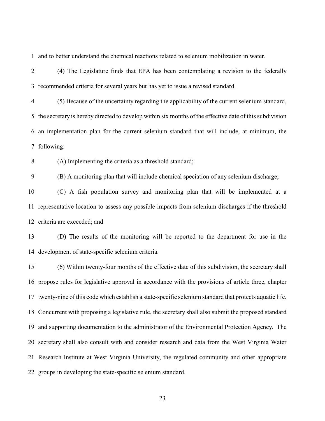and to better understand the chemical reactions related to selenium mobilization in water.

 (4) The Legislature finds that EPA has been contemplating a revision to the federally recommended criteria for several years but has yet to issue a revised standard.

 (5) Because of the uncertainty regarding the applicability of the current selenium standard, the secretary is hereby directed to develop within six months of the effective date of this subdivision an implementation plan for the current selenium standard that will include, at minimum, the following:

(A) Implementing the criteria as a threshold standard;

(B) A monitoring plan that will include chemical speciation of any selenium discharge;

 (C) A fish population survey and monitoring plan that will be implemented at a representative location to assess any possible impacts from selenium discharges if the threshold criteria are exceeded; and

 (D) The results of the monitoring will be reported to the department for use in the development of state-specific selenium criteria.

 (6) Within twenty-four months of the effective date of this subdivision, the secretary shall propose rules for legislative approval in accordance with the provisions of article three, chapter twenty-nine of this code which establish a state-specific selenium standard that protects aquatic life. Concurrent with proposing a legislative rule, the secretary shall also submit the proposed standard and supporting documentation to the administrator of the Environmental Protection Agency. The secretary shall also consult with and consider research and data from the West Virginia Water Research Institute at West Virginia University, the regulated community and other appropriate groups in developing the state-specific selenium standard.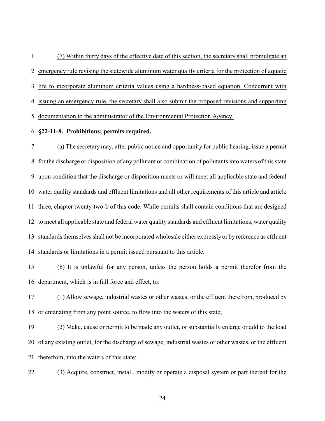(7) Within thirty days of the effective date of this section, the secretary shall promulgate an emergency rule revising the statewide aluminum water quality criteria for the protection of aquatic life to incorporate aluminum criteria values using a hardness-based equation. Concurrent with issuing an emergency rule, the secretary shall also submit the proposed revisions and supporting documentation to the administrator of the Environmental Protection Agency.

**§22-11-8. Prohibitions; permits required.**

 (a) The secretary may, after public notice and opportunity for public hearing, issue a permit for the discharge or disposition of any pollutant or combination of pollutants into waters of this state upon condition that the discharge or disposition meets or will meet all applicable state and federal water quality standards and effluent limitations and all other requirements of this article and article three, chapter twenty-two-b of this code. While permits shall contain conditions that are designed to meet all applicable state and federal water quality standards and effluent limitations, water quality standards themselves shall not be incorporated wholesale either expressly or by reference as effluent standards or limitations in a permit issued pursuant to this article.

 (b) It is unlawful for any person, unless the person holds a permit therefor from the department, which is in full force and effect, to:

 (1) Allow sewage, industrial wastes or other wastes, or the effluent therefrom, produced by or emanating from any point source, to flow into the waters of this state;

 (2) Make, cause or permit to be made any outlet, or substantially enlarge or add to the load of any existing outlet, for the discharge of sewage, industrial wastes or other wastes, or the effluent therefrom, into the waters of this state;

(3) Acquire, construct, install, modify or operate a disposal system or part thereof for the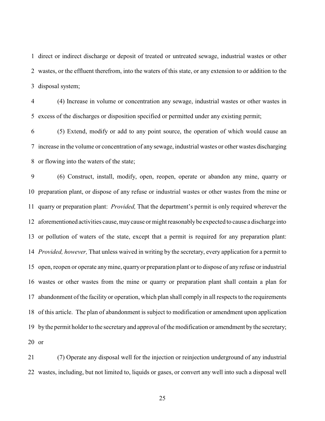direct or indirect discharge or deposit of treated or untreated sewage, industrial wastes or other wastes, or the effluent therefrom, into the waters of this state, or any extension to or addition to the disposal system;

 (4) Increase in volume or concentration any sewage, industrial wastes or other wastes in excess of the discharges or disposition specified or permitted under any existing permit;

 (5) Extend, modify or add to any point source, the operation of which would cause an increase in the volume or concentration of any sewage, industrial wastes or other wastes discharging or flowing into the waters of the state;

 (6) Construct, install, modify, open, reopen, operate or abandon any mine, quarry or preparation plant, or dispose of any refuse or industrial wastes or other wastes from the mine or quarry or preparation plant: *Provided,* That the department's permit is only required wherever the aforementioned activities cause, maycause or might reasonablybe expected to cause a discharge into or pollution of waters of the state, except that a permit is required for any preparation plant: *Provided, however,* That unless waived in writing by the secretary, every application for a permit to open, reopen or operate anymine, quarryor preparation plant or to dispose of any refuse or industrial wastes or other wastes from the mine or quarry or preparation plant shall contain a plan for abandonment of the facility or operation, which plan shall comply in all respects to the requirements of this article. The plan of abandonment is subject to modification or amendment upon application bythe permit holder to the secretaryand approval of the modification or amendment by the secretary; or

 (7) Operate any disposal well for the injection or reinjection underground of any industrial wastes, including, but not limited to, liquids or gases, or convert any well into such a disposal well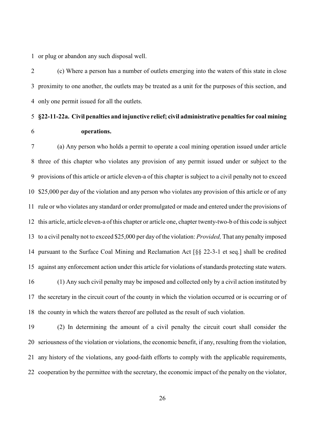or plug or abandon any such disposal well.

 (c) Where a person has a number of outlets emerging into the waters of this state in close proximity to one another, the outlets may be treated as a unit for the purposes of this section, and only one permit issued for all the outlets.

# **§22-11-22a. Civil penalties and injunctive relief; civil administrative penalties for coal mining operations.**

 (a) Any person who holds a permit to operate a coal mining operation issued under article three of this chapter who violates any provision of any permit issued under or subject to the provisions of this article or article eleven-a of this chapter is subject to a civil penalty not to exceed \$25,000 per day of the violation and any person who violates any provision of this article or of any rule or who violates any standard or order promulgated or made and entered under the provisions of this article, article eleven-a of this chapter or article one, chapter twenty-two-b of this code is subject to a civil penalty not to exceed \$25,000 per day of the violation: *Provided,* That any penalty imposed pursuant to the Surface Coal Mining and Reclamation Act [§§ 22-3-1 et seq.] shall be credited against any enforcement action under this article for violations of standards protecting state waters. (1) Any such civil penalty may be imposed and collected only by a civil action instituted by the secretary in the circuit court of the county in which the violation occurred or is occurring or of the county in which the waters thereof are polluted as the result of such violation.

 (2) In determining the amount of a civil penalty the circuit court shall consider the seriousness of the violation or violations, the economic benefit, if any, resulting from the violation, any history of the violations, any good-faith efforts to comply with the applicable requirements, cooperation by the permittee with the secretary, the economic impact of the penalty on the violator,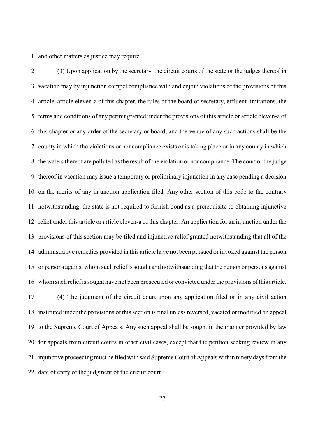and other matters as justice may require.

 (3) Upon application by the secretary, the circuit courts of the state or the judges thereof in vacation may by injunction compel compliance with and enjoin violations of the provisions of this article, article eleven-a of this chapter, the rules of the board or secretary, effluent limitations, the terms and conditions of any permit granted under the provisions of this article or article eleven-a of this chapter or any order of the secretary or board, and the venue of any such actions shall be the county in which the violations or noncompliance exists or is taking place or in any county in which the waters thereof are polluted as the result of the violation or noncompliance. The court or the judge thereof in vacation may issue a temporary or preliminary injunction in any case pending a decision on the merits of any injunction application filed. Any other section of this code to the contrary notwithstanding, the state is not required to furnish bond as a prerequisite to obtaining injunctive relief under this article or article eleven-a of this chapter. An application for an injunction under the provisions of this section may be filed and injunctive relief granted notwithstanding that all of the administrative remedies provided in this article have not been pursued or invoked against the person or persons against whom such reliefis sought and notwithstanding that the person or persons against whom such reliefis sought have not been prosecuted or convicted under the provisions of this article. (4) The judgment of the circuit court upon any application filed or in any civil action instituted under the provisions of this section is final unless reversed, vacated or modified on appeal to the Supreme Court of Appeals. Any such appeal shall be sought in the manner provided by law for appeals from circuit courts in other civil cases, except that the petition seeking review in any injunctive proceeding must be filed with said Supreme Court of Appeals within ninety days from the date of entry of the judgment of the circuit court.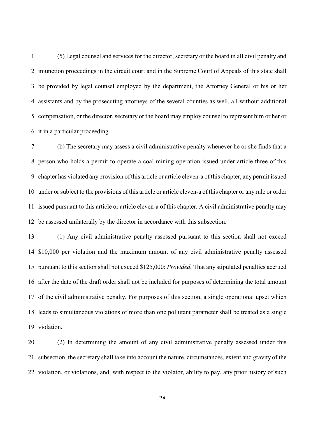(5) Legal counsel and services for the director, secretary or the board in all civil penalty and injunction proceedings in the circuit court and in the Supreme Court of Appeals of this state shall be provided by legal counsel employed by the department, the Attorney General or his or her assistants and by the prosecuting attorneys of the several counties as well, all without additional compensation, or the director, secretary or the board may employ counsel to represent him or her or it in a particular proceeding.

 (b) The secretary may assess a civil administrative penalty whenever he or she finds that a person who holds a permit to operate a coal mining operation issued under article three of this chapter has violated any provision of this article or article eleven-a of this chapter, any permit issued under or subject to the provisions of this article or article eleven-a of this chapter or any rule or order issued pursuant to this article or article eleven-a of this chapter. A civil administrative penalty may be assessed unilaterally by the director in accordance with this subsection.

 (1) Any civil administrative penalty assessed pursuant to this section shall not exceed \$10,000 per violation and the maximum amount of any civil administrative penalty assessed pursuant to this section shall not exceed \$125,000: *Provided*, That any stipulated penalties accrued after the date of the draft order shall not be included for purposes of determining the total amount of the civil administrative penalty. For purposes of this section, a single operational upset which leads to simultaneous violations of more than one pollutant parameter shall be treated as a single violation.

 (2) In determining the amount of any civil administrative penalty assessed under this subsection, the secretary shall take into account the nature, circumstances, extent and gravity of the violation, or violations, and, with respect to the violator, ability to pay, any prior history of such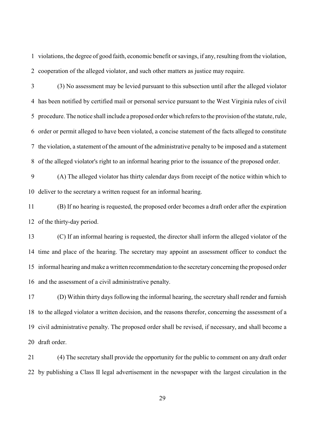violations, the degree of good faith, economic benefit or savings, if any, resulting from the violation, cooperation of the alleged violator, and such other matters as justice may require.

 (3) No assessment may be levied pursuant to this subsection until after the alleged violator has been notified by certified mail or personal service pursuant to the West Virginia rules of civil procedure. The notice shall include a proposed order which refers to the provision of the statute, rule, order or permit alleged to have been violated, a concise statement of the facts alleged to constitute the violation, a statement of the amount of the administrative penalty to be imposed and a statement of the alleged violator's right to an informal hearing prior to the issuance of the proposed order.

 (A) The alleged violator has thirty calendar days from receipt of the notice within which to deliver to the secretary a written request for an informal hearing.

 (B) If no hearing is requested, the proposed order becomes a draft order after the expiration of the thirty-day period.

 (C) If an informal hearing is requested, the director shall inform the alleged violator of the time and place of the hearing. The secretary may appoint an assessment officer to conduct the informal hearing and make a written recommendation to the secretaryconcerning the proposed order and the assessment of a civil administrative penalty.

 (D) Within thirty days following the informal hearing, the secretary shall render and furnish to the alleged violator a written decision, and the reasons therefor, concerning the assessment of a civil administrative penalty. The proposed order shall be revised, if necessary, and shall become a draft order.

 (4) The secretary shall provide the opportunity for the public to comment on any draft order by publishing a Class II legal advertisement in the newspaper with the largest circulation in the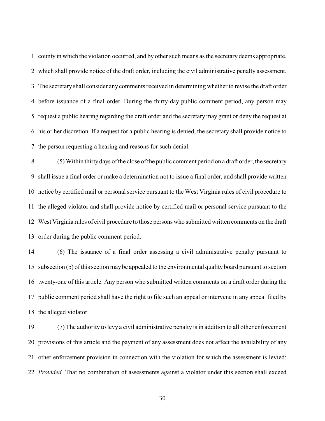county in which the violation occurred, and by other such means as the secretary deems appropriate, which shall provide notice of the draft order, including the civil administrative penalty assessment. The secretary shall consider any comments received in determining whether to revise the draft order before issuance of a final order. During the thirty-day public comment period, any person may request a public hearing regarding the draft order and the secretary may grant or deny the request at his or her discretion. If a request for a public hearing is denied, the secretary shall provide notice to the person requesting a hearing and reasons for such denial.

 (5) Within thirty days of the close of the public comment period on a draft order, the secretary shall issue a final order or make a determination not to issue a final order, and shall provide written notice by certified mail or personal service pursuant to the West Virginia rules of civil procedure to the alleged violator and shall provide notice by certified mail or personal service pursuant to the West Virginia rules of civil procedure to those persons who submitted written comments on the draft order during the public comment period.

 (6) The issuance of a final order assessing a civil administrative penalty pursuant to subsection (b) of this section may be appealed to the environmental quality board pursuant to section twenty-one of this article. Any person who submitted written comments on a draft order during the public comment period shall have the right to file such an appeal or intervene in any appeal filed by the alleged violator.

 (7) The authority to levy a civil administrative penalty is in addition to all other enforcement provisions of this article and the payment of any assessment does not affect the availability of any other enforcement provision in connection with the violation for which the assessment is levied: *Provided,* That no combination of assessments against a violator under this section shall exceed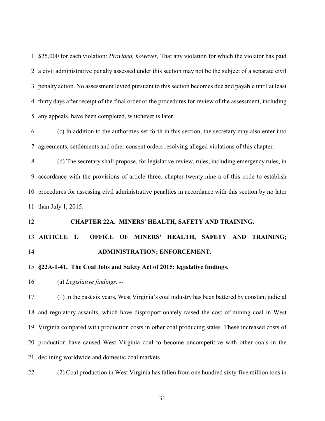\$25,000 for each violation: *Provided, however,* That any violation for which the violator has paid a civil administrative penalty assessed under this section may not be the subject of a separate civil penalty action. No assessment levied pursuant to this section becomes due and payable until at least thirty days after receipt of the final order or the procedures for review of the assessment, including any appeals, have been completed, whichever is later.

 (c) In addition to the authorities set forth in this section, the secretary may also enter into agreements, settlements and other consent orders resolving alleged violations of this chapter.

 (d) The secretary shall propose, for legislative review, rules, including emergency rules, in accordance with the provisions of article three, chapter twenty-nine-a of this code to establish procedures for assessing civil administrative penalties in accordance with this section by no later than July 1, 2015.

## **CHAPTER 22A. MINERS' HEALTH, SAFETY AND TRAINING.**

# **ARTICLE 1. OFFICE OF MINERS' HEALTH, SAFETY AND TRAINING; ADMINISTRATION; ENFORCEMENT.**

## **§22A-1-41. The Coal Jobs and Safety Act of 2015; legislative findings.**

(a) *Legislative findings.* --

 (1) In the past six years, West Virginia's coal industry has been battered by constant judicial and regulatory assaults, which have disproportionately raised the cost of mining coal in West Virginia compared with production costs in other coal producing states. These increased costs of production have caused West Virginia coal to become uncompetitive with other coals in the declining worldwide and domestic coal markets.

(2) Coal production in West Virginia has fallen from one hundred sixty-five million tons in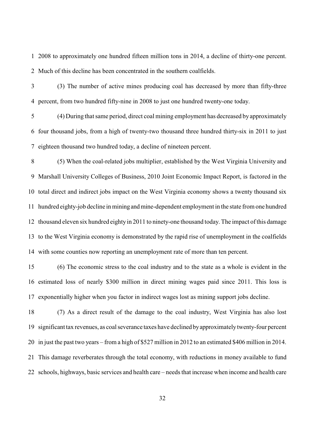2008 to approximately one hundred fifteen million tons in 2014, a decline of thirty-one percent. Much of this decline has been concentrated in the southern coalfields.

 (3) The number of active mines producing coal has decreased by more than fifty-three percent, from two hundred fifty-nine in 2008 to just one hundred twenty-one today.

 (4) During that same period, direct coal mining employment has decreased by approximately four thousand jobs, from a high of twenty-two thousand three hundred thirty-six in 2011 to just eighteen thousand two hundred today, a decline of nineteen percent.

 (5) When the coal-related jobs multiplier, established by the West Virginia University and Marshall University Colleges of Business, 2010 Joint Economic Impact Report, is factored in the total direct and indirect jobs impact on the West Virginia economy shows a twenty thousand six hundred eighty-job decline in mining andmine-dependent employment in the state from one hundred thousand eleven six hundred eighty in 2011 to ninety-one thousand today. The impact of this damage to the West Virginia economy is demonstrated by the rapid rise of unemployment in the coalfields with some counties now reporting an unemployment rate of more than ten percent.

 (6) The economic stress to the coal industry and to the state as a whole is evident in the estimated loss of nearly \$300 million in direct mining wages paid since 2011. This loss is exponentially higher when you factor in indirect wages lost as mining support jobs decline.

 (7) As a direct result of the damage to the coal industry, West Virginia has also lost significant tax revenues, as coal severance taxes have declined byapproximatelytwenty-four percent in just the past two years – from a high of \$527 million in 2012 to an estimated \$406 million in 2014. This damage reverberates through the total economy, with reductions in money available to fund schools, highways, basic services and health care – needs that increase when income and health care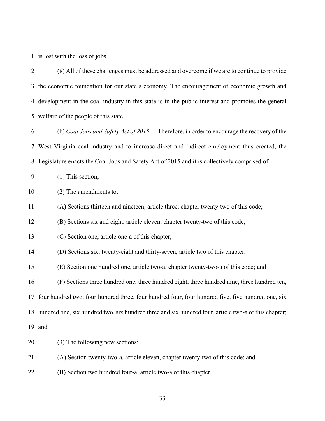is lost with the loss of jobs.

| $\overline{2}$ | (8) All of these challenges must be addressed and overcome if we are to continue to provide             |
|----------------|---------------------------------------------------------------------------------------------------------|
|                | 3 the economic foundation for our state's economy. The encouragement of economic growth and             |
| 4              | development in the coal industry in this state is in the public interest and promotes the general       |
|                | 5 welfare of the people of this state.                                                                  |
| 6              | (b) Coal Jobs and Safety Act of 2015. -- Therefore, in order to encourage the recovery of the           |
| 7              | West Virginia coal industry and to increase direct and indirect employment thus created, the            |
| 8              | Legislature enacts the Coal Jobs and Safety Act of 2015 and it is collectively comprised of:            |
| 9              | $(1)$ This section;                                                                                     |
| 10             | (2) The amendments to:                                                                                  |
| 11             | (A) Sections thirteen and nineteen, article three, chapter twenty-two of this code;                     |
| 12             | (B) Sections six and eight, article eleven, chapter twenty-two of this code;                            |
| 13             | (C) Section one, article one-a of this chapter;                                                         |
| 14             | (D) Sections six, twenty-eight and thirty-seven, article two of this chapter;                           |
| 15             | (E) Section one hundred one, article two-a, chapter twenty-two-a of this code; and                      |
| 16             | (F) Sections three hundred one, three hundred eight, three hundred nine, three hundred ten,             |
|                | 17 four hundred two, four hundred three, four hundred four, four hundred five, five hundred one, six    |
|                | 18 hundred one, six hundred two, six hundred three and six hundred four, article two-a of this chapter; |
|                | 19 and                                                                                                  |
| 20             | (3) The following new sections:                                                                         |
| 21             | (A) Section twenty-two-a, article eleven, chapter twenty-two of this code; and                          |
| 22             | (B) Section two hundred four-a, article two-a of this chapter                                           |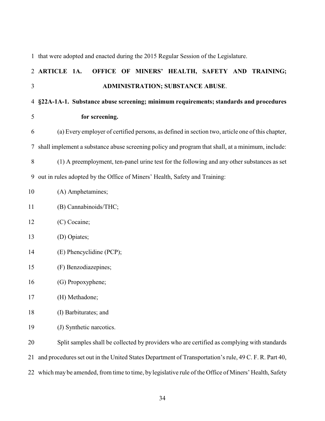|    | 1 that were adopted and enacted during the 2015 Regular Session of the Legislature.                   |
|----|-------------------------------------------------------------------------------------------------------|
|    | OFFICE OF MINERS' HEALTH, SAFETY AND TRAINING;<br>2 ARTICLE 1A.                                       |
| 3  | <b>ADMINISTRATION; SUBSTANCE ABUSE.</b>                                                               |
| 4  | §22A-1A-1. Substance abuse screening; minimum requirements; standards and procedures                  |
| 5  | for screening.                                                                                        |
| 6  | (a) Every employer of certified persons, as defined in section two, article one of this chapter,      |
| 7  | shall implement a substance abuse screening policy and program that shall, at a minimum, include:     |
| 8  | (1) A preemployment, ten-panel urine test for the following and any other substances as set           |
| 9  | out in rules adopted by the Office of Miners' Health, Safety and Training:                            |
| 10 | (A) Amphetamines;                                                                                     |
| 11 | (B) Cannabinoids/THC;                                                                                 |
| 12 | (C) Cocaine;                                                                                          |
| 13 | (D) Opiates;                                                                                          |
| 14 | (E) Phencyclidine (PCP);                                                                              |
| 15 | (F) Benzodiazepines;                                                                                  |
| 16 | (G) Propoxyphene;                                                                                     |
| 17 | (H) Methadone;                                                                                        |
| 18 | (I) Barbiturates; and                                                                                 |
| 19 | (J) Synthetic narcotics.                                                                              |
| 20 | Split samples shall be collected by providers who are certified as complying with standards           |
| 21 | and procedures set out in the United States Department of Transportation's rule, 49 C. F. R. Part 40, |

which may be amended, from time to time, by legislative rule of the Office of Miners' Health, Safety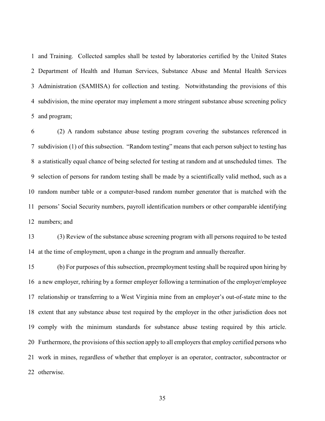and Training. Collected samples shall be tested by laboratories certified by the United States Department of Health and Human Services, Substance Abuse and Mental Health Services Administration (SAMHSA) for collection and testing. Notwithstanding the provisions of this subdivision, the mine operator may implement a more stringent substance abuse screening policy and program;

 (2) A random substance abuse testing program covering the substances referenced in subdivision (1) of this subsection. "Random testing" means that each person subject to testing has a statistically equal chance of being selected for testing at random and at unscheduled times. The selection of persons for random testing shall be made by a scientifically valid method, such as a random number table or a computer-based random number generator that is matched with the persons' Social Security numbers, payroll identification numbers or other comparable identifying numbers; and

 (3) Review of the substance abuse screening program with all persons required to be tested at the time of employment, upon a change in the program and annually thereafter.

 (b) For purposes of this subsection, preemployment testing shall be required upon hiring by a new employer, rehiring by a former employer following a termination of the employer/employee relationship or transferring to a West Virginia mine from an employer's out-of-state mine to the extent that any substance abuse test required by the employer in the other jurisdiction does not comply with the minimum standards for substance abuse testing required by this article. Furthermore, the provisions of this section apply to all employers that employ certified persons who work in mines, regardless of whether that employer is an operator, contractor, subcontractor or otherwise.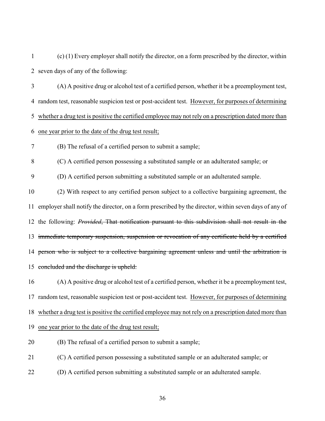(c) (1) Every employer shall notify the director, on a form prescribed by the director, within seven days of any of the following:

 (A) A positive drug or alcohol test of a certified person, whether it be a preemployment test, random test, reasonable suspicion test or post-accident test. However, for purposes of determining whether a drug test is positive the certified employee may not rely on a prescription dated more than one year prior to the date of the drug test result; (B) The refusal of a certified person to submit a sample;

(C) A certified person possessing a substituted sample or an adulterated sample; or

(D) A certified person submitting a substituted sample or an adulterated sample.

 (2) With respect to any certified person subject to a collective bargaining agreement, the employer shall notify the director, on a form prescribed by the director, within seven days of any of the following: *Provided*, That notification pursuant to this subdivision shall not result in the 13 immediate temporary suspension, suspension or revocation of any certificate held by a certified person who is subject to a collective bargaining agreement unless and until the arbitration is 15 concluded and the discharge is upheld:

 (A) A positive drug or alcohol test of a certified person, whether it be a preemployment test, random test, reasonable suspicion test or post-accident test. However, for purposes of determining whether a drug test is positive the certified employee may not rely on a prescription dated more than one year prior to the date of the drug test result;

(B) The refusal of a certified person to submit a sample;

(C) A certified person possessing a substituted sample or an adulterated sample; or

(D) A certified person submitting a substituted sample or an adulterated sample.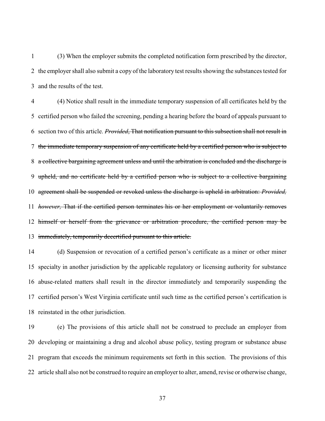(3) When the employer submits the completed notification form prescribed by the director, the employer shall also submit a copy of the laboratory test results showing the substances tested for and the results of the test.

 (4) Notice shall result in the immediate temporary suspension of all certificates held by the certified person who failed the screening, pending a hearing before the board of appeals pursuant to section two of this article. *Provided*, That notification pursuant to this subsection shall not result in the immediate temporary suspension of any certificate held by a certified person who is subject to a collective bargaining agreement unless and until the arbitration is concluded and the discharge is upheld, and no certificate held by a certified person who is subject to a collective bargaining agreement shall be suspended or revoked unless the discharge is upheld in arbitration: *Provided, however,* That if the certified person terminates his or her employment or voluntarily removes 12 himself or herself from the grievance or arbitration procedure, the certified person may be immediately, temporarily decertified pursuant to this article.

 (d) Suspension or revocation of a certified person's certificate as a miner or other miner specialty in another jurisdiction by the applicable regulatory or licensing authority for substance abuse-related matters shall result in the director immediately and temporarily suspending the certified person's West Virginia certificate until such time as the certified person's certification is reinstated in the other jurisdiction.

 (e) The provisions of this article shall not be construed to preclude an employer from developing or maintaining a drug and alcohol abuse policy, testing program or substance abuse program that exceeds the minimum requirements set forth in this section. The provisions of this article shall also not be construed to require an employer to alter, amend, revise or otherwise change,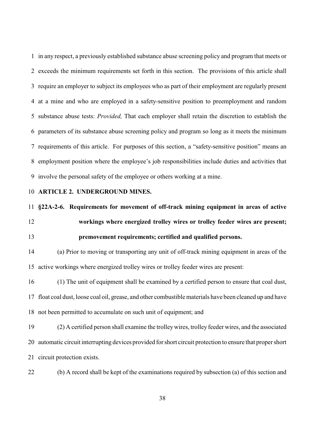in any respect, a previously established substance abuse screening policy and program that meets or exceeds the minimum requirements set forth in this section. The provisions of this article shall require an employer to subject its employees who as part of their employment are regularly present at a mine and who are employed in a safety-sensitive position to preemployment and random substance abuse tests: *Provided,* That each employer shall retain the discretion to establish the parameters of its substance abuse screening policy and program so long as it meets the minimum requirements of this article. For purposes of this section, a "safety-sensitive position" means an employment position where the employee's job responsibilities include duties and activities that involve the personal safety of the employee or others working at a mine.

### **ARTICLE 2. UNDERGROUND MINES.**

**§22A-2-6. Requirements for movement of off-track mining equipment in areas of active**

 **workings where energized trolley wires or trolley feeder wires are present; premovement requirements; certified and qualified persons.**

 (a) Prior to moving or transporting any unit of off-track mining equipment in areas of the active workings where energized trolley wires or trolley feeder wires are present:

 (1) The unit of equipment shall be examined by a certified person to ensure that coal dust, float coal dust, loose coal oil, grease, and other combustible materials have been cleaned up and have not been permitted to accumulate on such unit of equipment; and

 (2) A certified person shall examine the trolleywires, trolley feeder wires, and the associated automatic circuit interrupting devices provided for short circuit protection to ensure that propershort circuit protection exists.

(b) A record shall be kept of the examinations required by subsection (a) of this section and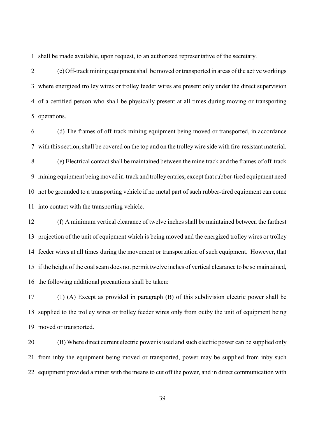shall be made available, upon request, to an authorized representative of the secretary.

 (c) Off-track mining equipment shall be moved or transported in areas of the active workings where energized trolley wires or trolley feeder wires are present only under the direct supervision of a certified person who shall be physically present at all times during moving or transporting operations.

 (d) The frames of off-track mining equipment being moved or transported, in accordance with this section, shall be covered on the top and on the trolley wire side with fire-resistant material. (e) Electrical contact shall be maintained between the mine track and the frames of off-track mining equipment beingmoved in-track and trolley entries, except that rubber-tired equipment need not be grounded to a transporting vehicle if no metal part of such rubber-tired equipment can come into contact with the transporting vehicle.

 (f) A minimum vertical clearance of twelve inches shall be maintained between the farthest projection of the unit of equipment which is being moved and the energized trolley wires or trolley feeder wires at all times during the movement or transportation of such equipment. However, that if the height of the coal seam does not permit twelve inches of vertical clearance to be so maintained, the following additional precautions shall be taken:

 (1) (A) Except as provided in paragraph (B) of this subdivision electric power shall be supplied to the trolley wires or trolley feeder wires only from outby the unit of equipment being moved or transported.

 (B) Where direct current electric power is used and such electric power can be supplied only from inby the equipment being moved or transported, power may be supplied from inby such equipment provided a miner with the means to cut off the power, and in direct communication with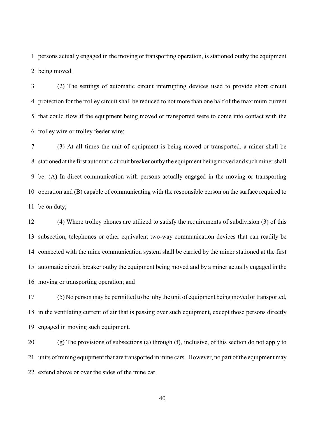persons actually engaged in the moving or transporting operation, is stationed outby the equipment being moved.

 (2) The settings of automatic circuit interrupting devices used to provide short circuit protection for the trolley circuit shall be reduced to not more than one half of the maximum current that could flow if the equipment being moved or transported were to come into contact with the trolley wire or trolley feeder wire;

 (3) At all times the unit of equipment is being moved or transported, a miner shall be stationed at the first automatic circuit breaker outbythe equipment beingmoved and such miner shall be: (A) In direct communication with persons actually engaged in the moving or transporting operation and (B) capable of communicating with the responsible person on the surface required to be on duty;

 (4) Where trolley phones are utilized to satisfy the requirements of subdivision (3) of this subsection, telephones or other equivalent two-way communication devices that can readily be connected with the mine communication system shall be carried by the miner stationed at the first automatic circuit breaker outby the equipment being moved and by a miner actually engaged in the moving or transporting operation; and

 (5) No person may be permitted to be inby the unit of equipment being moved or transported, in the ventilating current of air that is passing over such equipment, except those persons directly engaged in moving such equipment.

 (g) The provisions of subsections (a) through (f), inclusive, of this section do not apply to units of mining equipment that are transported in mine cars. However, no part of the equipment may extend above or over the sides of the mine car.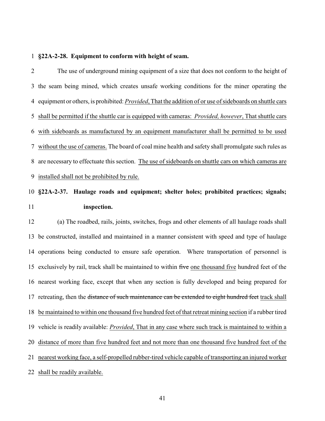#### **§22A-2-28. Equipment to conform with height of seam.**

 The use of underground mining equipment of a size that does not conform to the height of the seam being mined, which creates unsafe working conditions for the miner operating the equipment or others, is prohibited: *Provided*, That the addition of or use of sideboards on shuttle cars shall be permitted if the shuttle car is equipped with cameras: *Provided, however*, That shuttle cars with sideboards as manufactured by an equipment manufacturer shall be permitted to be used without the use of cameras. The board of coal mine health and safety shall promulgate such rules as are necessary to effectuate this section. The use of sideboards on shuttle cars on which cameras are installed shall not be prohibited by rule.

# **§22A-2-37. Haulage roads and equipment; shelter holes; prohibited practices; signals; inspection.**

 (a) The roadbed, rails, joints, switches, frogs and other elements of all haulage roads shall be constructed, installed and maintained in a manner consistent with speed and type of haulage operations being conducted to ensure safe operation. Where transportation of personnel is 15 exclusively by rail, track shall be maintained to within five one thousand five hundred feet of the nearest working face, except that when any section is fully developed and being prepared for 17 retreating, then the distance of such maintenance can be extended to eight hundred feet track shall be maintained to within one thousand five hundred feet of that retreat mining section if a rubbertired vehicle is readily available: *Provided*, That in any case where such track is maintained to within a distance of more than five hundred feet and not more than one thousand five hundred feet of the nearest working face, a self-propelled rubber-tired vehicle capable of transporting an injured worker shall be readily available.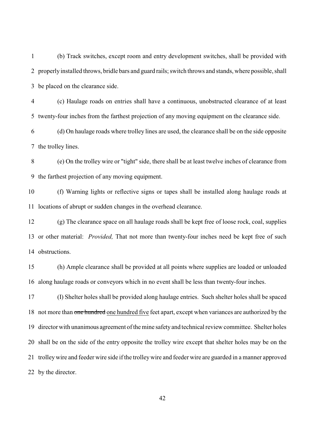(b) Track switches, except room and entry development switches, shall be provided with properly installed throws, bridle bars and guard rails; switch throws and stands, where possible, shall be placed on the clearance side.

 (c) Haulage roads on entries shall have a continuous, unobstructed clearance of at least twenty-four inches from the farthest projection of any moving equipment on the clearance side.

 (d) On haulage roads where trolley lines are used, the clearance shall be on the side opposite the trolley lines.

 (e) On the trolley wire or "tight" side, there shall be at least twelve inches of clearance from the farthest projection of any moving equipment.

 (f) Warning lights or reflective signs or tapes shall be installed along haulage roads at locations of abrupt or sudden changes in the overhead clearance.

 (g) The clearance space on all haulage roads shall be kept free of loose rock, coal, supplies or other material: *Provided,* That not more than twenty-four inches need be kept free of such obstructions.

 (h) Ample clearance shall be provided at all points where supplies are loaded or unloaded along haulage roads or conveyors which in no event shall be less than twenty-four inches.

 (I) Shelter holes shall be provided along haulage entries. Such shelter holes shall be spaced 18 not more than one hundred one hundred five feet apart, except when variances are authorized by the director with unanimous agreement of the mine safetyand technical review committee. Shelter holes shall be on the side of the entry opposite the trolley wire except that shelter holes may be on the trolley wire and feeder wire side if the trolleywire and feeder wire are guarded in a manner approved by the director.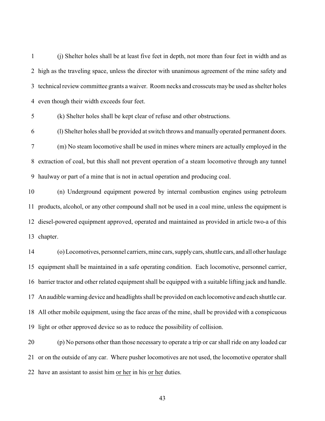(j) Shelter holes shall be at least five feet in depth, not more than four feet in width and as high as the traveling space, unless the director with unanimous agreement of the mine safety and technical review committee grants a waiver. Room necks and crosscuts may be used as shelter holes even though their width exceeds four feet.

(k) Shelter holes shall be kept clear of refuse and other obstructions.

 (l) Shelter holes shall be provided at switch throws and manually operated permanent doors. (m) No steam locomotive shall be used in mines where miners are actually employed in the extraction of coal, but this shall not prevent operation of a steam locomotive through any tunnel haulway or part of a mine that is not in actual operation and producing coal.

 (n) Underground equipment powered by internal combustion engines using petroleum products, alcohol, or any other compound shall not be used in a coal mine, unless the equipment is diesel-powered equipment approved, operated and maintained as provided in article two-a of this chapter.

 (o) Locomotives, personnel carriers, mine cars, supplycars, shuttle cars, and all other haulage equipment shall be maintained in a safe operating condition. Each locomotive, personnel carrier, barrier tractor and other related equipment shall be equipped with a suitable lifting jack and handle. An audible warning device and headlights shall be provided on each locomotive and each shuttle car. All other mobile equipment, using the face areas of the mine, shall be provided with a conspicuous light or other approved device so as to reduce the possibility of collision.

 (p) No persons other than those necessary to operate a trip or carshall ride on any loaded car or on the outside of any car. Where pusher locomotives are not used, the locomotive operator shall have an assistant to assist him or her in his or her duties.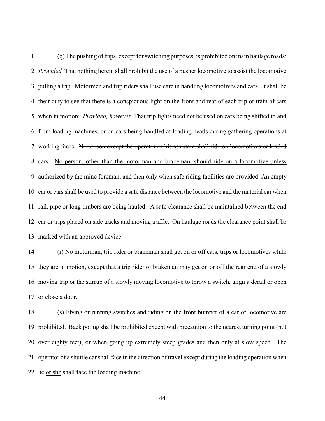(q) The pushing of trips, except for switching purposes, is prohibited on main haulage roads: *Provided,* That nothing herein shall prohibit the use of a pusher locomotive to assist the locomotive pulling a trip. Motormen and trip riders shall use care in handling locomotives and cars. It shall be their duty to see that there is a conspicuous light on the front and rear of each trip or train of cars when in motion: *Provided, however,* That trip lights need not be used on cars being shifted to and from loading machines, or on cars being handled at loading heads during gathering operations at working faces. No person except the operator or his assistant shall ride on locomotives or loaded 8 cars. No person, other than the motorman and brakeman, should ride on a locomotive unless authorized by the mine foreman, and then only when safe riding facilities are provided. An empty car or cars shall be used to provide a safe distance between the locomotive and the material car when rail, pipe or long timbers are being hauled. A safe clearance shall be maintained between the end car or trips placed on side tracks and moving traffic. On haulage roads the clearance point shall be marked with an approved device.

 (r) No motorman, trip rider or brakeman shall get on or off cars, trips or locomotives while they are in motion, except that a trip rider or brakeman may get on or off the rear end of a slowly moving trip or the stirrup of a slowly moving locomotive to throw a switch, align a derail or open or close a door.

 (s) Flying or running switches and riding on the front bumper of a car or locomotive are prohibited. Back poling shall be prohibited except with precaution to the nearest turning point (not over eighty feet), or when going up extremely steep grades and then only at slow speed. The operator of a shuttle carshall face in the direction of travel except during the loading operation when he or she shall face the loading machine.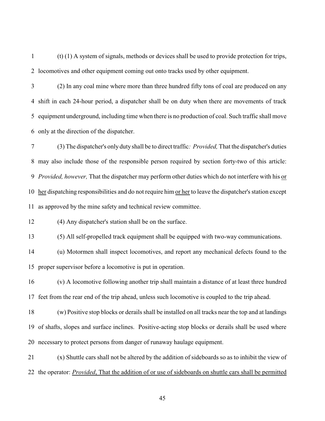(t) (1) A system of signals, methods or devices shall be used to provide protection for trips, locomotives and other equipment coming out onto tracks used by other equipment.

 (2) In any coal mine where more than three hundred fifty tons of coal are produced on any shift in each 24-hour period, a dispatcher shall be on duty when there are movements of track equipment underground, including time when there is no production of coal. Such traffic shall move only at the direction of the dispatcher.

 (3) The dispatcher's only duty shall be to direct traffic*: Provided,* That the dispatcher's duties may also include those of the responsible person required by section forty-two of this article: *Provided, however,* That the dispatcher may perform other duties which do not interfere with his or her dispatching responsibilities and do not require him or her to leave the dispatcher's station except as approved by the mine safety and technical review committee.

(4) Any dispatcher's station shall be on the surface.

(5) All self-propelled track equipment shall be equipped with two-way communications.

 (u) Motormen shall inspect locomotives, and report any mechanical defects found to the proper supervisor before a locomotive is put in operation.

 (v) A locomotive following another trip shall maintain a distance of at least three hundred feet from the rear end of the trip ahead, unless such locomotive is coupled to the trip ahead.

 (w) Positive stop blocks or derails shall be installed on all tracks near the top and at landings of shafts, slopes and surface inclines. Positive-acting stop blocks or derails shall be used where necessary to protect persons from danger of runaway haulage equipment.

 (x) Shuttle cars shall not be altered by the addition of sideboards so as to inhibit the view of the operator: *Provided*, That the addition of or use of sideboards on shuttle cars shall be permitted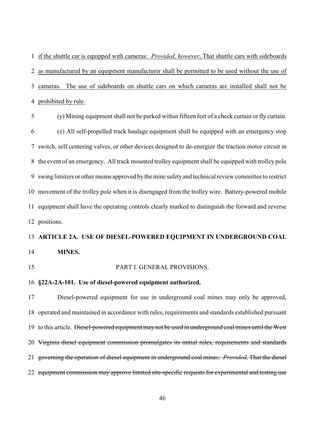if the shuttle car is equipped with cameras: *Provided, however*, That shuttle cars with sideboards as manufactured by an equipment manufacturer shall be permitted to be used without the use of cameras. The use of sideboards on shuttle cars on which cameras are installed shall not be prohibited by rule.

 (y) Mining equipment shall not be parked within fifteen feet of a check curtain or fly curtain. (z) All self-propelled track haulage equipment shall be equipped with an emergency stop switch, self centering valves, or other devices designed to de-energize the traction motor circuit in the event of an emergency. All track mounted trolley equipment shall be equipped with trolley pole swing limiters or other means approved by the mine safetyand technical review committee to restrict movement of the trolley pole when it is disengaged from the trolley wire. Battery-powered mobile equipment shall have the operating controls clearly marked to distinguish the forward and reverse positions.

# **ARTICLE 2A. USE OF DIESEL-POWERED EQUIPMENT IN UNDERGROUND COAL**

- **MINES.**
- 

#### PART I. GENERAL PROVISIONS.

#### **§22A-2A-101. Use of diesel-powered equipment authorized.**

 Diesel-powered equipment for use in underground coal mines may only be approved, operated and maintained in accordance with rules, requirements and standards established pursuant 19 to this article. Diesel-powered equipment may not be used in underground coal mines until the West Virginia diesel equipment commission promulgates its initial rules, requirements and standards governing the operation of diesel equipment in underground coal mines: *Provided,* That the diesel 22 equipment commission may approve limited site-specific requests for experimental and testing use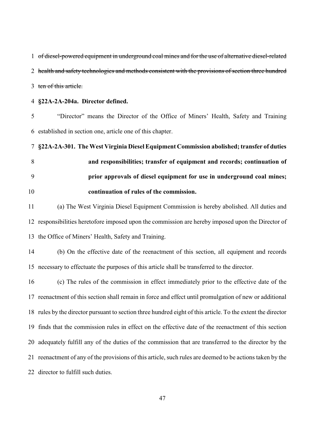of diesel-powered equipment in underground coal mines and for the use of alternative diesel-related 2 health and safety technologies and methods consistent with the provisions of section three hundred 3 ten of this article.

**§22A-2A-204a. Director defined.**

 "Director" means the Director of the Office of Miners' Health, Safety and Training established in section one, article one of this chapter.

 **§22A-2A-301. The West Virginia Diesel Equipment Commission abolished; transfer of duties and responsibilities; transfer of equipment and records; continuation of prior approvals of diesel equipment for use in underground coal mines; continuation of rules of the commission.**

 (a) The West Virginia Diesel Equipment Commission is hereby abolished. All duties and responsibilities heretofore imposed upon the commission are hereby imposed upon the Director of the Office of Miners' Health, Safety and Training.

 (b) On the effective date of the reenactment of this section, all equipment and records necessary to effectuate the purposes of this article shall be transferred to the director.

 (c) The rules of the commission in effect immediately prior to the effective date of the reenactment of this section shall remain in force and effect until promulgation of new or additional rules by the director pursuant to section three hundred eight of this article. To the extent the director finds that the commission rules in effect on the effective date of the reenactment of this section adequately fulfill any of the duties of the commission that are transferred to the director by the reenactment of any of the provisions of this article, such rules are deemed to be actions taken by the 22 director to fulfill such duties.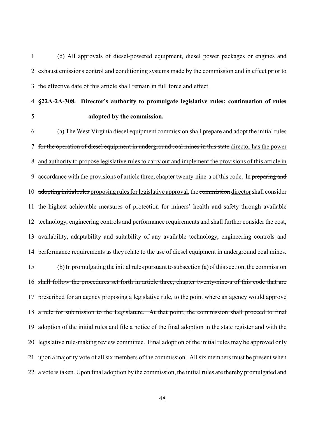(d) All approvals of diesel-powered equipment, diesel power packages or engines and exhaust emissions control and conditioning systems made by the commission and in effect prior to the effective date of this article shall remain in full force and effect.

# **§22A-2A-308. Director's authority to promulgate legislative rules; continuation of rules adopted by the commission.**

 (a) The West Virginia diesel equipment commission shall prepare and adopt the initial rules for the operation of diesel equipment in underground coal mines in this state director has the power and authority to propose legislative rules to carry out and implement the provisions of this article in 9 accordance with the provisions of article three, chapter twenty-nine-a of this code. In preparing and 10 adopting initial rules proposing rules for legislative approval, the commission director shall consider the highest achievable measures of protection for miners' health and safety through available technology, engineering controls and performance requirements and shall further consider the cost, availability, adaptability and suitability of any available technology, engineering controls and performance requirements as they relate to the use of diesel equipment in underground coal mines. (b) In promulgating the initial rules pursuant to subsection (a) of this section, the commission shall follow the procedures set forth in article three, chapter twenty-nine-a of this code that are 17 prescribed for an agency proposing a legislative rule, to the point where an agency would approve 18 a rule for submission to the Legislature. At that point, the commission shall proceed to final 19 adoption of the initial rules and file a notice of the final adoption in the state register and with the 20 legislative rule-making review committee. Final adoption of the initial rules may be approved only 21 upon a majority vote of all six members of the commission. All six members must be present when 22 a vote is taken. Upon final adoption by the commission, the initial rules are thereby promulgated and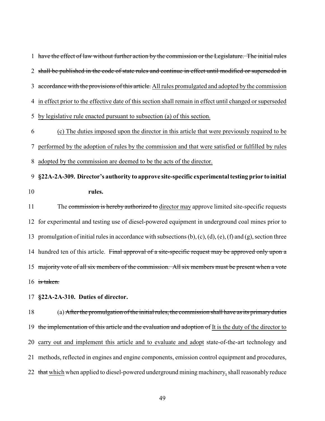have the effect of law without further action by the commission or the Legislature. The initial rules 2 shall be published in the code of state rules and continue in effect until modified or superseded in 3 accordance with the provisions of this article. All rules promulgated and adopted by the commission in effect prior to the effective date of this section shall remain in effect until changed or superseded by legislative rule enacted pursuant to subsection (a) of this section. (c) The duties imposed upon the director in this article that were previously required to be performed by the adoption of rules by the commission and that were satisfied or fulfilled by rules adopted by the commission are deemed to be the acts of the director.

 **§22A-2A-309. Director's authority to approve site-specific experimental testing prior to initial rules.**

11 The commission is hereby authorized to director may approve limited site-specific requests for experimental and testing use of diesel-powered equipment in underground coal mines prior to 13 promulgation of initial rules in accordance with subsections  $(b)$ ,  $(c)$ ,  $(d)$ ,  $(e)$ ,  $(f)$  and  $(g)$ , section three 14 hundred ten of this article. Final approval of a site-specific request may be approved only upon a 15 majority vote of all six members of the commission. All six members must be present when a vote 16 is taken.

**§22A-2A-310. Duties of director.**

 (a) Afterthe promulgation of the initial rules, the commission shall have as its primary duties 19 the implementation of this article and the evaluation and adoption of It is the duty of the director to carry out and implement this article and to evaluate and adopt state-of-the-art technology and methods, reflected in engines and engine components, emission control equipment and procedures, 22 that which when applied to diesel-powered underground mining machinery, shall reasonably reduce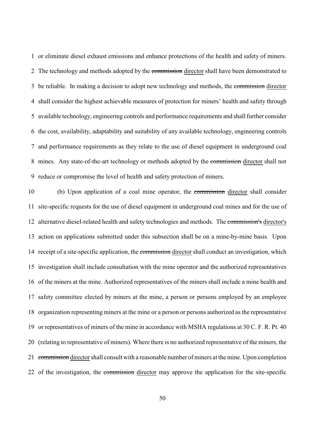or eliminate diesel exhaust emissions and enhance protections of the health and safety of miners. 2 The technology and methods adopted by the commission director shall have been demonstrated to 3 be reliable. In making a decision to adopt new technology and methods, the commission director shall consider the highest achievable measures of protection for miners' health and safety through available technology, engineering controls and performance requirements and shall further consider the cost, availability, adaptability and suitability of any available technology, engineering controls and performance requirements as they relate to the use of diesel equipment in underground coal 8 mines. Any state-of-the-art technology or methods adopted by the commission director shall not reduce or compromise the level of health and safety protection of miners.

 (b) Upon application of a coal mine operator, the commission director shall consider site-specific requests for the use of diesel equipment in underground coal mines and for the use of alternative diesel-related health and safety technologies and methods. The commission's director's action on applications submitted under this subsection shall be on a mine-by-mine basis. Upon 14 receipt of a site-specific application, the commission director shall conduct an investigation, which investigation shall include consultation with the mine operator and the authorized representatives of the miners at the mine. Authorized representatives of the miners shall include a mine health and safety committee elected by miners at the mine, a person or persons employed by an employee organization representing miners at the mine or a person or persons authorized as the representative or representatives of miners of the mine in accordance with MSHA regulations at 30 C. F. R. Pt. 40 (relating to representative of miners). Where there is no authorized representative of the miners, the 21 commission director shall consult with a reasonable number of miners at the mine. Upon completion 22 of the investigation, the commission director may approve the application for the site-specific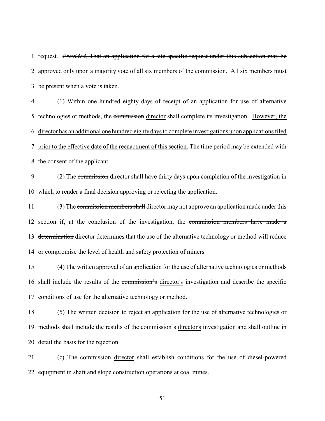request. *Provided,* That an application for a site-specific request under this subsection may be 2 approved only upon a majority vote of all six members of the commission. All six members must 3 be present when a vote is taken.

 (1) Within one hundred eighty days of receipt of an application for use of alternative 5 technologies or methods, the commission director shall complete its investigation. However, the director has an additional one hundred eightydays to complete investigations upon applications filed prior to the effective date of the reenactment of this section. The time period may be extended with the consent of the applicant.

 (2) The commission director shall have thirty days upon completion of the investigation in which to render a final decision approving or rejecting the application.

11 (3) The commission members shall director may not approve an application made under this 12 section if, at the conclusion of the investigation, the commission members have made a 13 determination director determines that the use of the alternative technology or method will reduce or compromise the level of health and safety protection of miners.

 (4) The written approval of an application for the use of alternative technologies or methods shall include the results of the commission's director's investigation and describe the specific conditions of use for the alternative technology or method.

 (5) The written decision to reject an application for the use of alternative technologies or 19 methods shall include the results of the commission's director's investigation and shall outline in detail the basis for the rejection.

 (c) The commission director shall establish conditions for the use of diesel-powered equipment in shaft and slope construction operations at coal mines.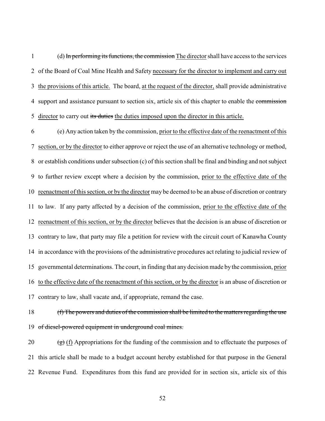(d) In performing its functions, the commission The director shall have access to the services of the Board of Coal Mine Health and Safety necessary for the director to implement and carry out the provisions of this article. The board, at the request of the director, shall provide administrative 4 support and assistance pursuant to section six, article six of this chapter to enable the commission 5 director to carry out its duties the duties imposed upon the director in this article.

 (e) Any action taken by the commission, prior to the effective date of the reenactment of this section, or by the director to either approve or reject the use of an alternative technology or method, or establish conditions under subsection (c) of this section shall be final and binding and not subject to further review except where a decision by the commission, prior to the effective date of the reenactment of this section, or by the director may be deemed to be an abuse of discretion or contrary to law. If any party affected by a decision of the commission, prior to the effective date of the reenactment of this section, or by the director believes that the decision is an abuse of discretion or contrary to law, that party may file a petition for review with the circuit court of Kanawha County in accordance with the provisions of the administrative procedures act relating to judicial review of governmental determinations. The court, in finding that any decision made by the commission, prior to the effective date of the reenactment of this section, or by the director is an abuse of discretion or contrary to law, shall vacate and, if appropriate, remand the case.

 (f) The powers and duties of the commission shall be limited to the matters regarding the use 19 of diesel-powered equipment in underground coal mines.

20  $\left(\frac{1}{2}\right)$  (f) Appropriations for the funding of the commission and to effectuate the purposes of this article shall be made to a budget account hereby established for that purpose in the General Revenue Fund. Expenditures from this fund are provided for in section six, article six of this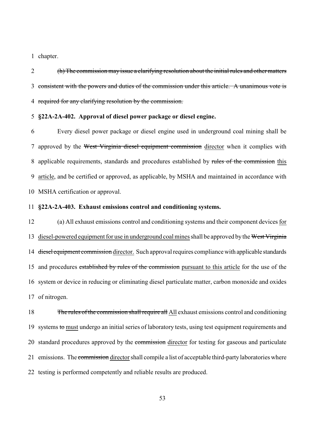chapter.

 (h) The commission may issue a clarifying resolution about the initial rules and other matters consistent with the powers and duties of the commission under this article. A unanimous vote is required for any clarifying resolution by the commission.

#### **§22A-2A-402. Approval of diesel power package or diesel engine.**

 Every diesel power package or diesel engine used in underground coal mining shall be 7 approved by the West Virginia diesel equipment commission director when it complies with 8 applicable requirements, standards and procedures established by rules of the commission this article, and be certified or approved, as applicable, by MSHA and maintained in accordance with MSHA certification or approval.

#### **§22A-2A-403. Exhaust emissions control and conditioning systems.**

 (a) All exhaust emissions control and conditioning systems and their component devices for 13 diesel-powered equipment for use in underground coal mines shall be approved by the West Virginia 14 diesel equipment commission director. Such approval requires compliance with applicable standards 15 and procedures established by rules of the commission pursuant to this article for the use of the system or device in reducing or eliminating diesel particulate matter, carbon monoxide and oxides of nitrogen.

18 The rules of the commission shall require all All exhaust emissions control and conditioning 19 systems to must undergo an initial series of laboratory tests, using test equipment requirements and 20 standard procedures approved by the commission director for testing for gaseous and particulate 21 emissions. The commission director shall compile a list of acceptable third-party laboratories where testing is performed competently and reliable results are produced.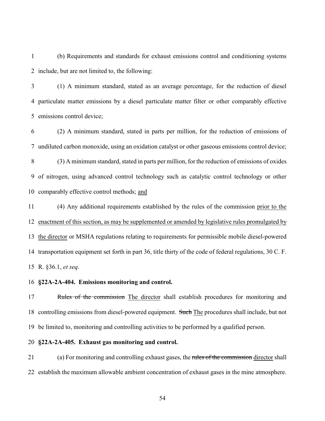(b) Requirements and standards for exhaust emissions control and conditioning systems include, but are not limited to, the following:

 (1) A minimum standard, stated as an average percentage, for the reduction of diesel particulate matter emissions by a diesel particulate matter filter or other comparably effective emissions control device;

 (2) A minimum standard, stated in parts per million, for the reduction of emissions of undiluted carbon monoxide, using an oxidation catalyst or other gaseous emissions control device; (3) A minimum standard, stated in parts per million, for the reduction of emissions of oxides of nitrogen, using advanced control technology such as catalytic control technology or other comparably effective control methods; and

 (4) Any additional requirements established by the rules of the commission prior to the enactment of this section, as may be supplemented or amended by legislative rules promulgated by the director or MSHA regulations relating to requirements for permissible mobile diesel-powered transportation equipment set forth in part 36, title thirty of the code of federal regulations, 30 C. F. R. §36.1, *et seq*.

**§22A-2A-404. Emissions monitoring and control.**

17 Rules of the commission The director shall establish procedures for monitoring and 18 controlling emissions from diesel-powered equipment. Such The procedures shall include, but not be limited to, monitoring and controlling activities to be performed by a qualified person.

**§22A-2A-405. Exhaust gas monitoring and control.**

21 (a) For monitoring and controlling exhaust gases, the rules of the commission director shall establish the maximum allowable ambient concentration of exhaust gases in the mine atmosphere.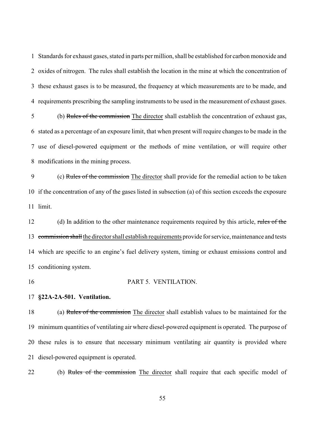Standards for exhaust gases, stated in parts per million, shall be established for carbon monoxide and oxides of nitrogen. The rules shall establish the location in the mine at which the concentration of these exhaust gases is to be measured, the frequency at which measurements are to be made, and requirements prescribing the sampling instruments to be used in the measurement of exhaust gases.

 (b) Rules of the commission The director shall establish the concentration of exhaust gas, stated as a percentage of an exposure limit, that when present will require changes to be made in the use of diesel-powered equipment or the methods of mine ventilation, or will require other modifications in the mining process.

 (c) Rules of the commission The director shall provide for the remedial action to be taken if the concentration of any of the gases listed in subsection (a) of this section exceeds the exposure limit.

12 (d) In addition to the other maintenance requirements required by this article, rules of the 13 commission shall the director shall establish requirements provide for service, maintenance and tests which are specific to an engine's fuel delivery system, timing or exhaust emissions control and conditioning system.

#### PART 5. VENTILATION.

#### **§22A-2A-501. Ventilation.**

 (a) Rules of the commission The director shall establish values to be maintained for the minimum quantities of ventilating air where diesel-powered equipment is operated. The purpose of these rules is to ensure that necessary minimum ventilating air quantity is provided where diesel-powered equipment is operated.

22 (b) Rules of the commission The director shall require that each specific model of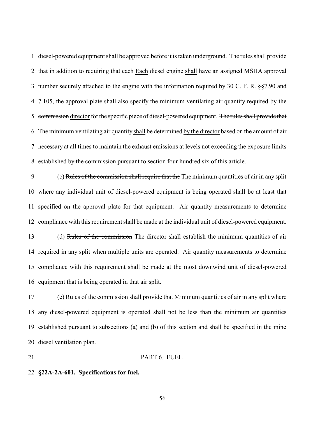diesel-powered equipment shall be approved before it is taken underground. The rules shall provide 2 that in addition to requiring that each Each diesel engine shall have an assigned MSHA approval number securely attached to the engine with the information required by 30 C. F. R. §§7.90 and 7.105, the approval plate shall also specify the minimum ventilating air quantity required by the 5 commission director for the specific piece of diesel-powered equipment. The rules shall provide that The minimum ventilating air quantity shall be determined by the director based on the amount of air necessary at all times to maintain the exhaust emissions at levels not exceeding the exposure limits 8 established by the commission pursuant to section four hundred six of this article.

 (c) Rules of the commission shall require that the The minimum quantities of air in any split where any individual unit of diesel-powered equipment is being operated shall be at least that specified on the approval plate for that equipment. Air quantity measurements to determine compliance with this requirement shall be made at the individual unit of diesel-powered equipment.

 (d) Rules of the commission The director shall establish the minimum quantities of air required in any split when multiple units are operated. Air quantity measurements to determine compliance with this requirement shall be made at the most downwind unit of diesel-powered equipment that is being operated in that air split.

17 (e) Rules of the commission shall provide that Minimum quantities of air in any split where any diesel-powered equipment is operated shall not be less than the minimum air quantities established pursuant to subsections (a) and (b) of this section and shall be specified in the mine diesel ventilation plan.

#### **PART 6. FUEL.**

#### **§22A-2A-601. Specifications for fuel.**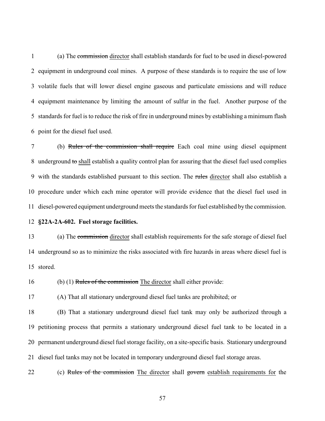(a) The commission director shall establish standards for fuel to be used in diesel-powered equipment in underground coal mines. A purpose of these standards is to require the use of low volatile fuels that will lower diesel engine gaseous and particulate emissions and will reduce equipment maintenance by limiting the amount of sulfur in the fuel. Another purpose of the standards for fuel is to reduce the risk of fire in underground mines by establishing a minimum flash point for the diesel fuel used.

 (b) Rules of the commission shall require Each coal mine using diesel equipment 8 underground to shall establish a quality control plan for assuring that the diesel fuel used complies 9 with the standards established pursuant to this section. The rules director shall also establish a procedure under which each mine operator will provide evidence that the diesel fuel used in diesel-powered equipment underground meets the standards for fuel established by the commission.

**§22A-2A-602. Fuel storage facilities.**

 (a) The commission director shall establish requirements for the safe storage of diesel fuel underground so as to minimize the risks associated with fire hazards in areas where diesel fuel is stored.

(b) (1) Rules of the commission The director shall either provide:

(A) That all stationary underground diesel fuel tanks are prohibited; or

 (B) That a stationary underground diesel fuel tank may only be authorized through a petitioning process that permits a stationary underground diesel fuel tank to be located in a permanent underground diesel fuel storage facility, on a site-specific basis. Stationary underground diesel fuel tanks may not be located in temporary underground diesel fuel storage areas.

22 (c) Rules of the commission The director shall govern establish requirements for the